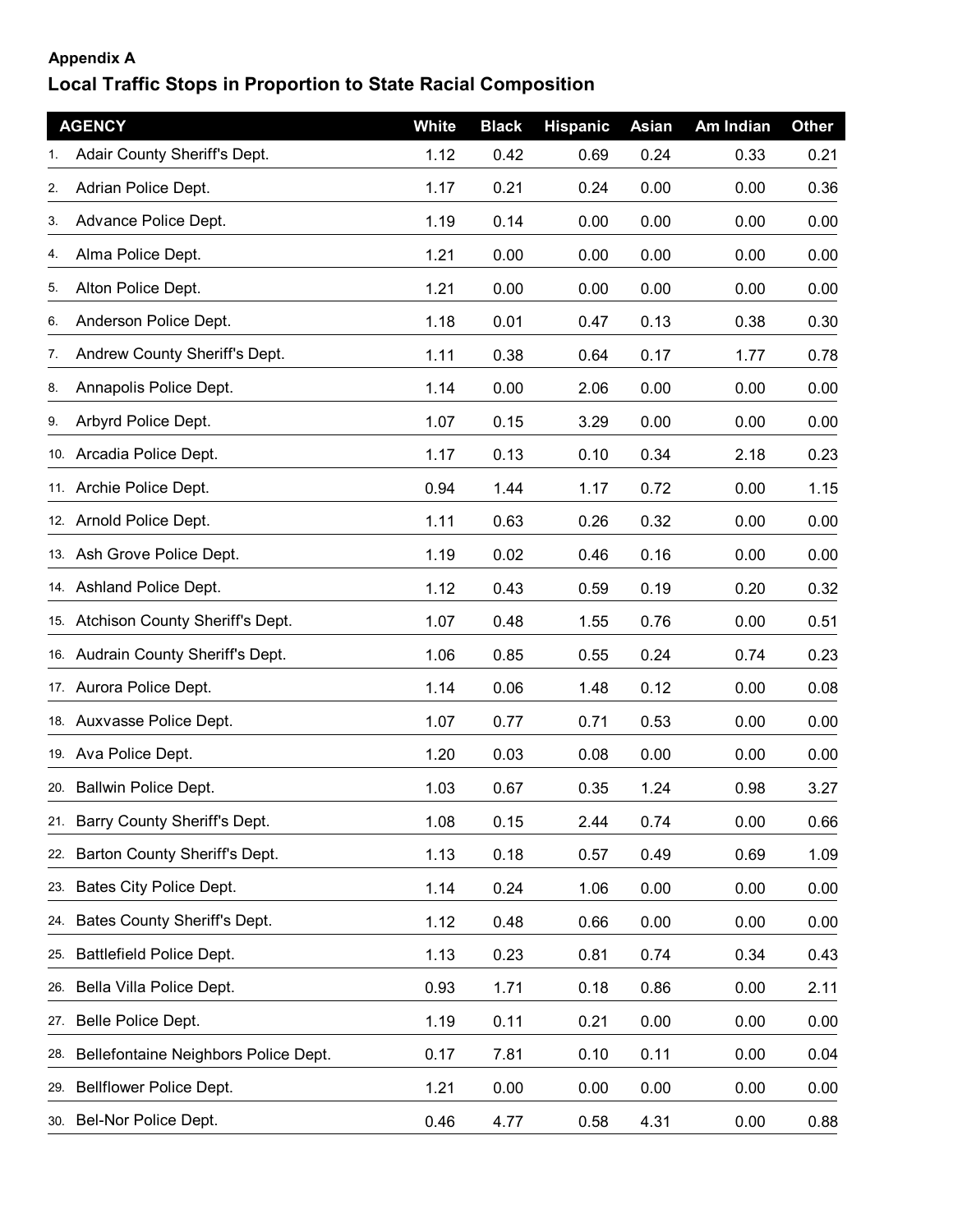## **Appendix A**

## **Local Traffic Stops in Proportion to State Racial Composition**

|     | <b>AGENCY</b>                        | White | <b>Black</b> | <b>Hispanic</b> | Asian | Am Indian | <b>Other</b> |
|-----|--------------------------------------|-------|--------------|-----------------|-------|-----------|--------------|
|     | Adair County Sheriff's Dept.         | 1.12  | 0.42         | 0.69            | 0.24  | 0.33      | 0.21         |
| 2.  | Adrian Police Dept.                  | 1.17  | 0.21         | 0.24            | 0.00  | 0.00      | 0.36         |
| 3.  | Advance Police Dept.                 | 1.19  | 0.14         | 0.00            | 0.00  | 0.00      | 0.00         |
| 4.  | Alma Police Dept.                    | 1.21  | 0.00         | 0.00            | 0.00  | 0.00      | 0.00         |
| 5.  | Alton Police Dept.                   | 1.21  | 0.00         | 0.00            | 0.00  | 0.00      | 0.00         |
| 6.  | Anderson Police Dept.                | 1.18  | 0.01         | 0.47            | 0.13  | 0.38      | 0.30         |
| 7.  | Andrew County Sheriff's Dept.        | 1.11  | 0.38         | 0.64            | 0.17  | 1.77      | 0.78         |
| 8.  | Annapolis Police Dept.               | 1.14  | 0.00         | 2.06            | 0.00  | 0.00      | 0.00         |
| 9.  | Arbyrd Police Dept.                  | 1.07  | 0.15         | 3.29            | 0.00  | 0.00      | 0.00         |
|     | 10. Arcadia Police Dept.             | 1.17  | 0.13         | 0.10            | 0.34  | 2.18      | 0.23         |
|     | 11. Archie Police Dept.              | 0.94  | 1.44         | 1.17            | 0.72  | 0.00      | 1.15         |
|     | 12. Arnold Police Dept.              | 1.11  | 0.63         | 0.26            | 0.32  | 0.00      | 0.00         |
|     | 13. Ash Grove Police Dept.           | 1.19  | 0.02         | 0.46            | 0.16  | 0.00      | 0.00         |
|     | 14. Ashland Police Dept.             | 1.12  | 0.43         | 0.59            | 0.19  | 0.20      | 0.32         |
|     | 15. Atchison County Sheriff's Dept.  | 1.07  | 0.48         | 1.55            | 0.76  | 0.00      | 0.51         |
|     | 16. Audrain County Sheriff's Dept.   | 1.06  | 0.85         | 0.55            | 0.24  | 0.74      | 0.23         |
|     | 17. Aurora Police Dept.              | 1.14  | 0.06         | 1.48            | 0.12  | 0.00      | 0.08         |
|     | 18. Auxvasse Police Dept.            | 1.07  | 0.77         | 0.71            | 0.53  | 0.00      | 0.00         |
|     | 19. Ava Police Dept.                 | 1.20  | 0.03         | 0.08            | 0.00  | 0.00      | 0.00         |
|     | 20. Ballwin Police Dept.             | 1.03  | 0.67         | 0.35            | 1.24  | 0.98      | 3.27         |
|     | 21. Barry County Sheriff's Dept.     | 1.08  | 0.15         | 2.44            | 0.74  | 0.00      | 0.66         |
| 22. | Barton County Sheriff's Dept.        | 1.13  | 0.18         | 0.57            | 0.49  | 0.69      | 1.09         |
|     | 23. Bates City Police Dept.          | 1.14  | 0.24         | 1.06            | 0.00  | 0.00      | 0.00         |
|     | 24. Bates County Sheriff's Dept.     | 1.12  | 0.48         | 0.66            | 0.00  | 0.00      | 0.00         |
| 25. | Battlefield Police Dept.             | 1.13  | 0.23         | 0.81            | 0.74  | 0.34      | 0.43         |
|     | 26. Bella Villa Police Dept.         | 0.93  | 1.71         | 0.18            | 0.86  | 0.00      | 2.11         |
| 27. | Belle Police Dept.                   | 1.19  | 0.11         | 0.21            | 0.00  | 0.00      | 0.00         |
| 28. | Bellefontaine Neighbors Police Dept. | 0.17  | 7.81         | 0.10            | 0.11  | 0.00      | 0.04         |
| 29. | Bellflower Police Dept.              | 1.21  | 0.00         | 0.00            | 0.00  | 0.00      | 0.00         |
|     | 30. Bel-Nor Police Dept.             | 0.46  | 4.77         | 0.58            | 4.31  | 0.00      | 0.88         |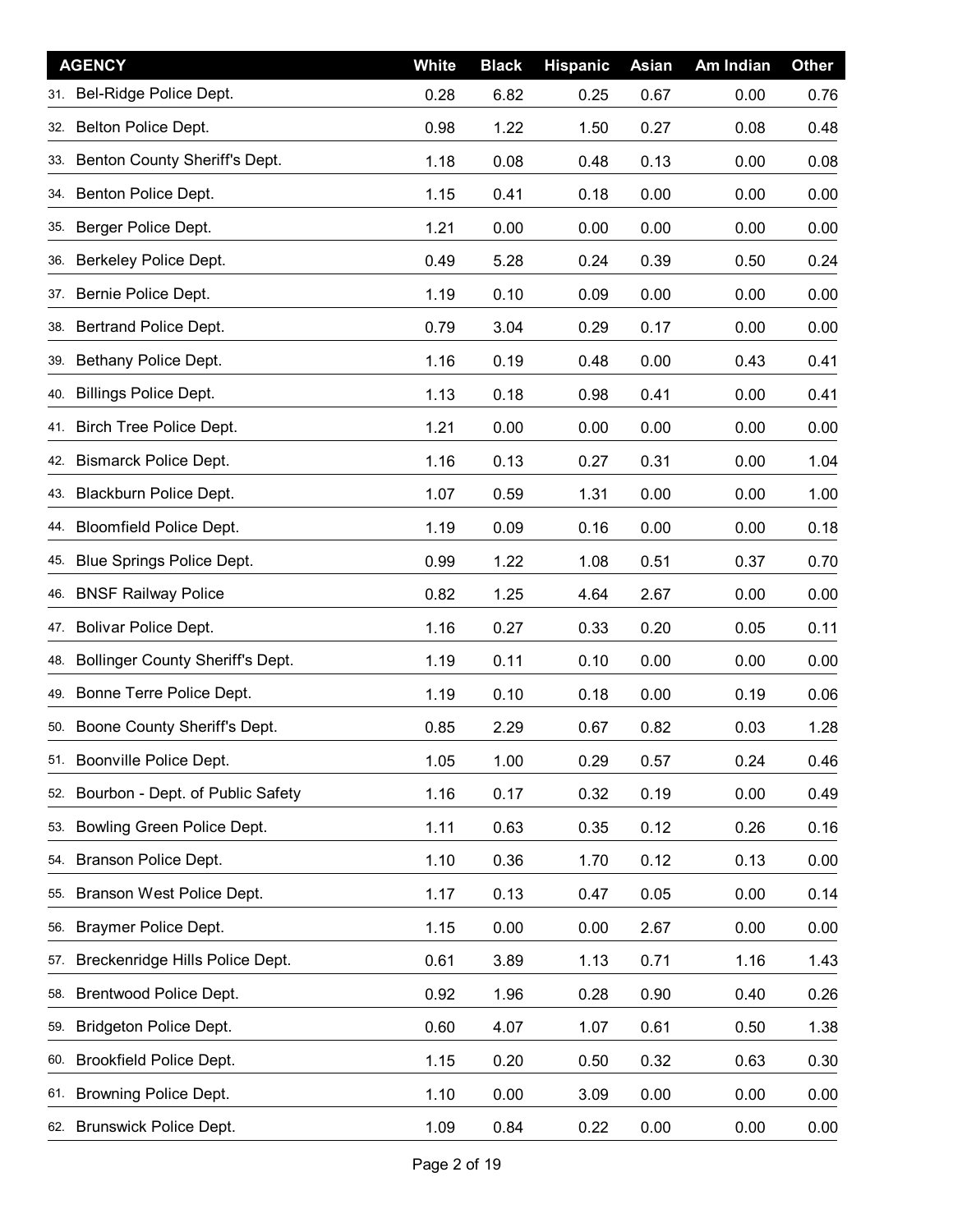| <b>AGENCY</b>                           | White | <b>Black</b> | <b>Hispanic</b> | <b>Asian</b> | Am Indian | <b>Other</b> |
|-----------------------------------------|-------|--------------|-----------------|--------------|-----------|--------------|
| 31. Bel-Ridge Police Dept.              | 0.28  | 6.82         | 0.25            | 0.67         | 0.00      | 0.76         |
| Belton Police Dept.<br>32.              | 0.98  | 1.22         | 1.50            | 0.27         | 0.08      | 0.48         |
| Benton County Sheriff's Dept.<br>33.    | 1.18  | 0.08         | 0.48            | 0.13         | 0.00      | 0.08         |
| Benton Police Dept.<br>34.              | 1.15  | 0.41         | 0.18            | 0.00         | 0.00      | 0.00         |
| Berger Police Dept.<br>35.              | 1.21  | 0.00         | 0.00            | 0.00         | 0.00      | 0.00         |
| Berkeley Police Dept.<br>36.            | 0.49  | 5.28         | 0.24            | 0.39         | 0.50      | 0.24         |
| Bernie Police Dept.<br>37.              | 1.19  | 0.10         | 0.09            | 0.00         | 0.00      | 0.00         |
| Bertrand Police Dept.<br>38.            | 0.79  | 3.04         | 0.29            | 0.17         | 0.00      | 0.00         |
| Bethany Police Dept.<br>39.             | 1.16  | 0.19         | 0.48            | 0.00         | 0.43      | 0.41         |
| <b>Billings Police Dept.</b><br>40.     | 1.13  | 0.18         | 0.98            | 0.41         | 0.00      | 0.41         |
| Birch Tree Police Dept.<br>41.          | 1.21  | 0.00         | 0.00            | 0.00         | 0.00      | 0.00         |
| <b>Bismarck Police Dept.</b><br>42.     | 1.16  | 0.13         | 0.27            | 0.31         | 0.00      | 1.04         |
| Blackburn Police Dept.<br>43.           | 1.07  | 0.59         | 1.31            | 0.00         | 0.00      | 1.00         |
| <b>Bloomfield Police Dept.</b><br>44.   | 1.19  | 0.09         | 0.16            | 0.00         | 0.00      | 0.18         |
| Blue Springs Police Dept.<br>45.        | 0.99  | 1.22         | 1.08            | 0.51         | 0.37      | 0.70         |
| <b>BNSF Railway Police</b><br>46.       | 0.82  | 1.25         | 4.64            | 2.67         | 0.00      | 0.00         |
| Bolivar Police Dept.<br>47.             | 1.16  | 0.27         | 0.33            | 0.20         | 0.05      | 0.11         |
| Bollinger County Sheriff's Dept.<br>48. | 1.19  | 0.11         | 0.10            | 0.00         | 0.00      | 0.00         |
| Bonne Terre Police Dept.<br>49.         | 1.19  | 0.10         | 0.18            | 0.00         | 0.19      | 0.06         |
| 50. Boone County Sheriff's Dept.        | 0.85  | 2.29         | 0.67            | 0.82         | 0.03      | 1.28         |
| 51. Boonville Police Dept.              | 1.05  | 1.00         | 0.29            | 0.57         | 0.24      | 0.46         |
| Bourbon - Dept. of Public Safety<br>52. | 1.16  | 0.17         | 0.32            | 0.19         | 0.00      | 0.49         |
| Bowling Green Police Dept.<br>53.       | 1.11  | 0.63         | 0.35            | 0.12         | 0.26      | 0.16         |
| Branson Police Dept.<br>54.             | 1.10  | 0.36         | 1.70            | 0.12         | 0.13      | 0.00         |
| Branson West Police Dept.<br>55.        | 1.17  | 0.13         | 0.47            | 0.05         | 0.00      | 0.14         |
| Braymer Police Dept.<br>56.             | 1.15  | 0.00         | 0.00            | 2.67         | 0.00      | 0.00         |
| Breckenridge Hills Police Dept.<br>57.  | 0.61  | 3.89         | 1.13            | 0.71         | 1.16      | 1.43         |
| Brentwood Police Dept.<br>58.           | 0.92  | 1.96         | 0.28            | 0.90         | 0.40      | 0.26         |
| Bridgeton Police Dept.<br>59.           | 0.60  | 4.07         | 1.07            | 0.61         | 0.50      | 1.38         |
| <b>Brookfield Police Dept.</b><br>60.   | 1.15  | 0.20         | 0.50            | 0.32         | 0.63      | 0.30         |
| Browning Police Dept.<br>61.            | 1.10  | 0.00         | 3.09            | 0.00         | 0.00      | 0.00         |
| 62. Brunswick Police Dept.              | 1.09  | 0.84         | 0.22            | 0.00         | 0.00      | 0.00         |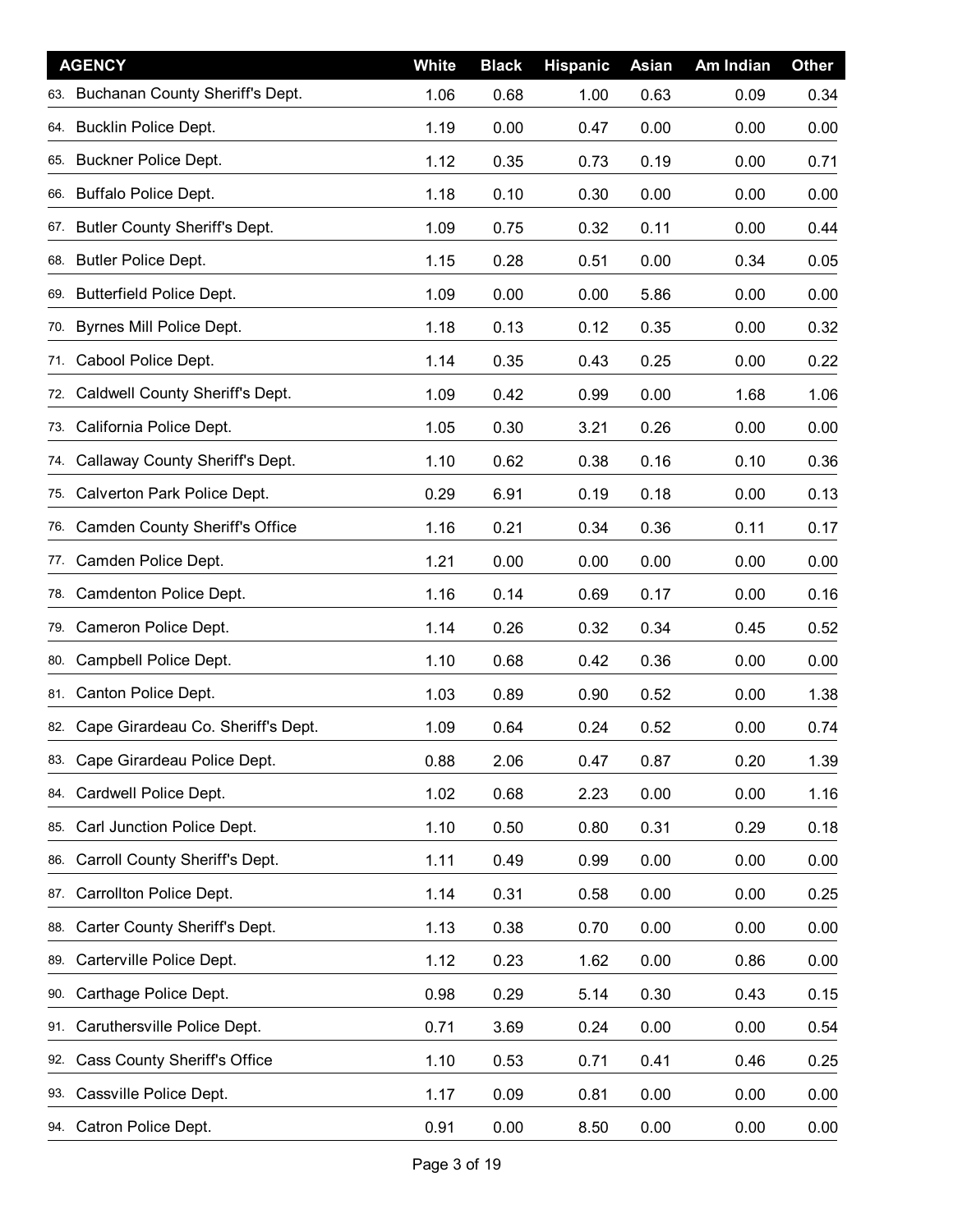|     | <b>AGENCY</b>                          | White | <b>Black</b> | <b>Hispanic</b> | <b>Asian</b> | Am Indian | <b>Other</b> |
|-----|----------------------------------------|-------|--------------|-----------------|--------------|-----------|--------------|
|     | 63. Buchanan County Sheriff's Dept.    | 1.06  | 0.68         | 1.00            | 0.63         | 0.09      | 0.34         |
| 64. | <b>Bucklin Police Dept.</b>            | 1.19  | 0.00         | 0.47            | 0.00         | 0.00      | 0.00         |
| 65. | Buckner Police Dept.                   | 1.12  | 0.35         | 0.73            | 0.19         | 0.00      | 0.71         |
| 66. | Buffalo Police Dept.                   | 1.18  | 0.10         | 0.30            | 0.00         | 0.00      | 0.00         |
|     | 67. Butler County Sheriff's Dept.      | 1.09  | 0.75         | 0.32            | 0.11         | 0.00      | 0.44         |
| 68. | <b>Butler Police Dept.</b>             | 1.15  | 0.28         | 0.51            | 0.00         | 0.34      | 0.05         |
|     | 69. Butterfield Police Dept.           | 1.09  | 0.00         | 0.00            | 5.86         | 0.00      | 0.00         |
|     | 70. Byrnes Mill Police Dept.           | 1.18  | 0.13         | 0.12            | 0.35         | 0.00      | 0.32         |
| 71. | Cabool Police Dept.                    | 1.14  | 0.35         | 0.43            | 0.25         | 0.00      | 0.22         |
| 72. | Caldwell County Sheriff's Dept.        | 1.09  | 0.42         | 0.99            | 0.00         | 1.68      | 1.06         |
| 73. | California Police Dept.                | 1.05  | 0.30         | 3.21            | 0.26         | 0.00      | 0.00         |
| 74. | Callaway County Sheriff's Dept.        | 1.10  | 0.62         | 0.38            | 0.16         | 0.10      | 0.36         |
| 75. | Calverton Park Police Dept.            | 0.29  | 6.91         | 0.19            | 0.18         | 0.00      | 0.13         |
| 76. | <b>Camden County Sheriff's Office</b>  | 1.16  | 0.21         | 0.34            | 0.36         | 0.11      | 0.17         |
| 77. | Camden Police Dept.                    | 1.21  | 0.00         | 0.00            | 0.00         | 0.00      | 0.00         |
| 78. | Camdenton Police Dept.                 | 1.16  | 0.14         | 0.69            | 0.17         | 0.00      | 0.16         |
| 79. | Cameron Police Dept.                   | 1.14  | 0.26         | 0.32            | 0.34         | 0.45      | 0.52         |
| 80. | Campbell Police Dept.                  | 1.10  | 0.68         | 0.42            | 0.36         | 0.00      | 0.00         |
| 81. | Canton Police Dept.                    | 1.03  | 0.89         | 0.90            | 0.52         | 0.00      | 1.38         |
|     | 82. Cape Girardeau Co. Sheriff's Dept. | 1.09  | 0.64         | 0.24            | 0.52         | 0.00      | 0.74         |
| 83. | Cape Girardeau Police Dept.            | 0.88  | 2.06         | 0.47            | 0.87         | 0.20      | 1.39         |
| 84. | Cardwell Police Dept.                  | 1.02  | 0.68         | 2.23            | 0.00         | 0.00      | 1.16         |
| 85. | Carl Junction Police Dept.             | 1.10  | 0.50         | 0.80            | 0.31         | 0.29      | 0.18         |
| 86. | Carroll County Sheriff's Dept.         | 1.11  | 0.49         | 0.99            | 0.00         | 0.00      | 0.00         |
| 87. | Carrollton Police Dept.                | 1.14  | 0.31         | 0.58            | 0.00         | 0.00      | 0.25         |
| 88. | Carter County Sheriff's Dept.          | 1.13  | 0.38         | 0.70            | 0.00         | 0.00      | 0.00         |
| 89. | Carterville Police Dept.               | 1.12  | 0.23         | 1.62            | 0.00         | 0.86      | 0.00         |
| 90. | Carthage Police Dept.                  | 0.98  | 0.29         | 5.14            | 0.30         | 0.43      | 0.15         |
| 91. | Caruthersville Police Dept.            | 0.71  | 3.69         | 0.24            | 0.00         | 0.00      | 0.54         |
| 92. | Cass County Sheriff's Office           | 1.10  | 0.53         | 0.71            | 0.41         | 0.46      | 0.25         |
| 93. | Cassville Police Dept.                 | 1.17  | 0.09         | 0.81            | 0.00         | 0.00      | 0.00         |
|     | 94. Catron Police Dept.                | 0.91  | 0.00         | 8.50            | 0.00         | 0.00      | 0.00         |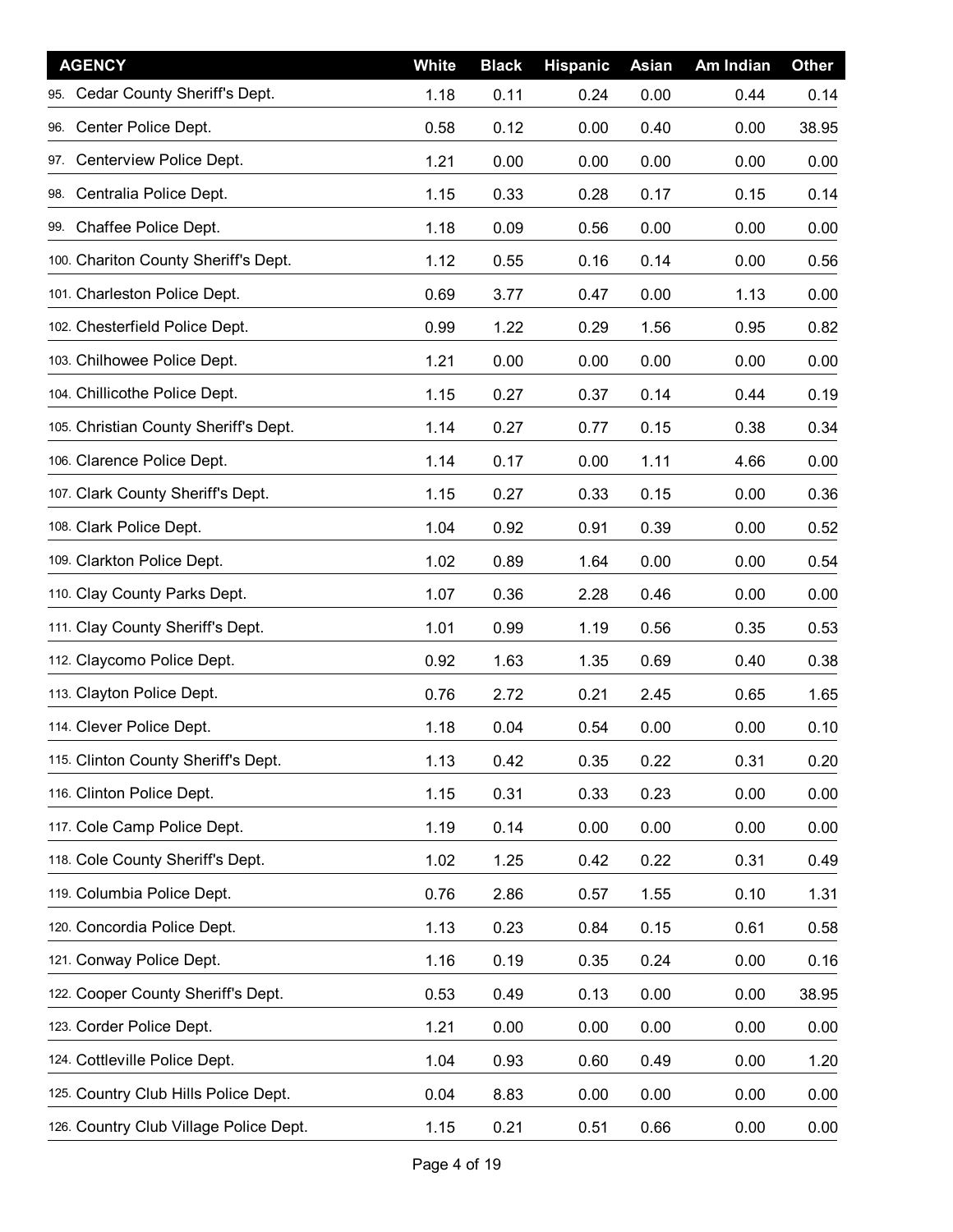| <b>AGENCY</b>                          | White | <b>Black</b> | <b>Hispanic</b> | <b>Asian</b> | Am Indian | <b>Other</b> |
|----------------------------------------|-------|--------------|-----------------|--------------|-----------|--------------|
| Cedar County Sheriff's Dept.<br>95.    | 1.18  | 0.11         | 0.24            | 0.00         | 0.44      | 0.14         |
| Center Police Dept.<br>96.             | 0.58  | 0.12         | 0.00            | 0.40         | 0.00      | 38.95        |
| Centerview Police Dept.<br>97.         | 1.21  | 0.00         | 0.00            | 0.00         | 0.00      | 0.00         |
| Centralia Police Dept.<br>98.          | 1.15  | 0.33         | 0.28            | 0.17         | 0.15      | 0.14         |
| 99. Chaffee Police Dept.               | 1.18  | 0.09         | 0.56            | 0.00         | 0.00      | 0.00         |
| 100. Chariton County Sheriff's Dept.   | 1.12  | 0.55         | 0.16            | 0.14         | 0.00      | 0.56         |
| 101. Charleston Police Dept.           | 0.69  | 3.77         | 0.47            | 0.00         | 1.13      | 0.00         |
| 102. Chesterfield Police Dept.         | 0.99  | 1.22         | 0.29            | 1.56         | 0.95      | 0.82         |
| 103. Chilhowee Police Dept.            | 1.21  | 0.00         | 0.00            | 0.00         | 0.00      | 0.00         |
| 104. Chillicothe Police Dept.          | 1.15  | 0.27         | 0.37            | 0.14         | 0.44      | 0.19         |
| 105. Christian County Sheriff's Dept.  | 1.14  | 0.27         | 0.77            | 0.15         | 0.38      | 0.34         |
| 106. Clarence Police Dept.             | 1.14  | 0.17         | 0.00            | 1.11         | 4.66      | 0.00         |
| 107. Clark County Sheriff's Dept.      | 1.15  | 0.27         | 0.33            | 0.15         | 0.00      | 0.36         |
| 108. Clark Police Dept.                | 1.04  | 0.92         | 0.91            | 0.39         | 0.00      | 0.52         |
| 109. Clarkton Police Dept.             | 1.02  | 0.89         | 1.64            | 0.00         | 0.00      | 0.54         |
| 110. Clay County Parks Dept.           | 1.07  | 0.36         | 2.28            | 0.46         | 0.00      | 0.00         |
| 111. Clay County Sheriff's Dept.       | 1.01  | 0.99         | 1.19            | 0.56         | 0.35      | 0.53         |
| 112. Claycomo Police Dept.             | 0.92  | 1.63         | 1.35            | 0.69         | 0.40      | 0.38         |
| 113. Clayton Police Dept.              | 0.76  | 2.72         | 0.21            | 2.45         | 0.65      | 1.65         |
| 114. Clever Police Dept.               | 1.18  | 0.04         | 0.54            | 0.00         | 0.00      | 0.10         |
| 115. Clinton County Sheriff's Dept.    | 1.13  | 0.42         | 0.35            | 0.22         | 0.31      | 0.20         |
| 116. Clinton Police Dept.              | 1.15  | 0.31         | 0.33            | 0.23         | 0.00      | 0.00         |
| 117. Cole Camp Police Dept.            | 1.19  | 0.14         | 0.00            | 0.00         | 0.00      | 0.00         |
| 118. Cole County Sheriff's Dept.       | 1.02  | 1.25         | 0.42            | 0.22         | 0.31      | 0.49         |
| 119. Columbia Police Dept.             | 0.76  | 2.86         | 0.57            | 1.55         | 0.10      | 1.31         |
| 120. Concordia Police Dept.            | 1.13  | 0.23         | 0.84            | 0.15         | 0.61      | 0.58         |
| 121. Conway Police Dept.               | 1.16  | 0.19         | 0.35            | 0.24         | 0.00      | 0.16         |
| 122. Cooper County Sheriff's Dept.     | 0.53  | 0.49         | 0.13            | 0.00         | 0.00      | 38.95        |
| 123. Corder Police Dept.               | 1.21  | 0.00         | 0.00            | 0.00         | 0.00      | 0.00         |
| 124. Cottleville Police Dept.          | 1.04  | 0.93         | 0.60            | 0.49         | 0.00      | 1.20         |
| 125. Country Club Hills Police Dept.   | 0.04  | 8.83         | 0.00            | 0.00         | 0.00      | 0.00         |
| 126. Country Club Village Police Dept. | 1.15  | 0.21         | 0.51            | 0.66         | 0.00      | 0.00         |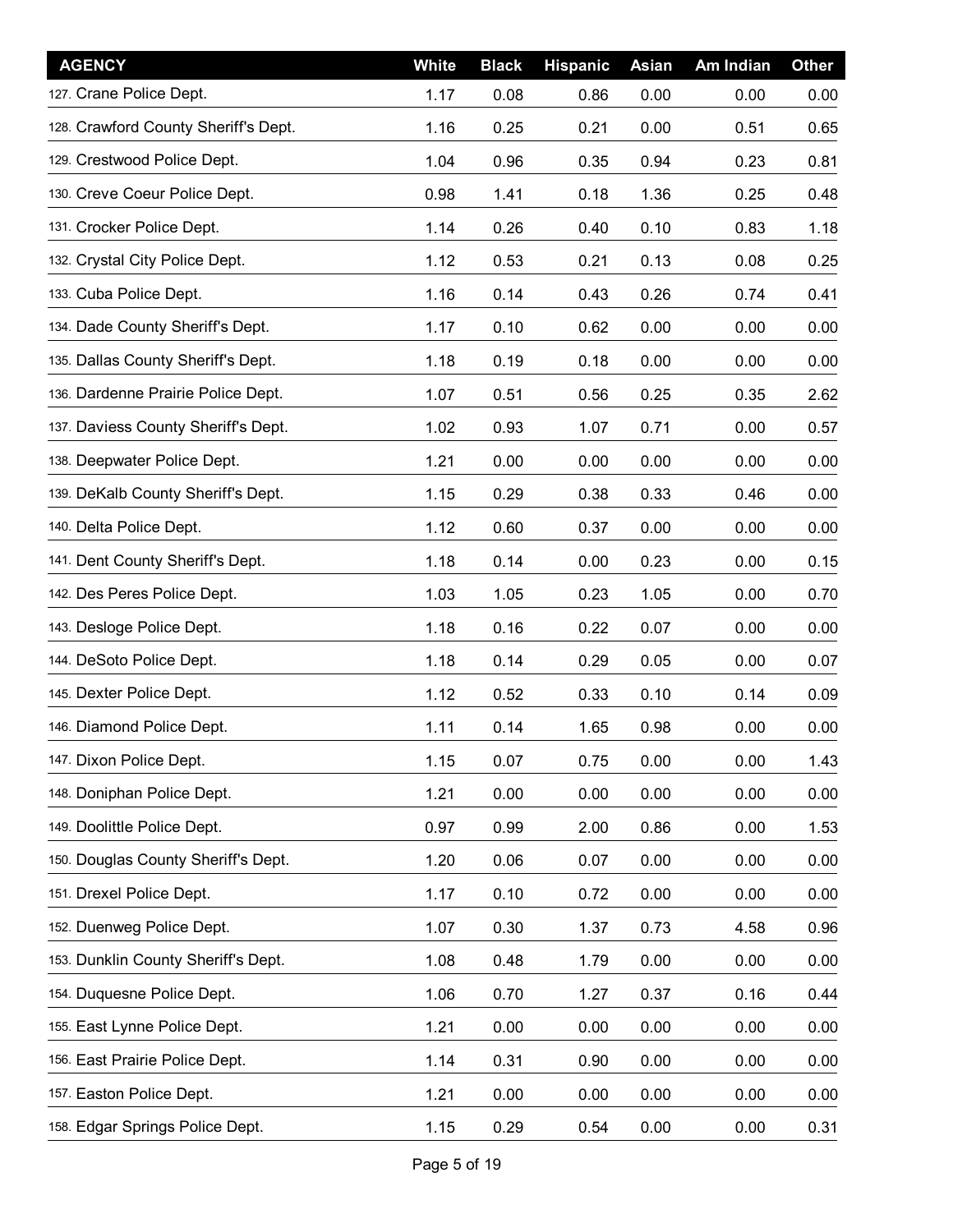| <b>AGENCY</b>                        | White | <b>Black</b> | <b>Hispanic</b> | <b>Asian</b> | Am Indian | <b>Other</b> |
|--------------------------------------|-------|--------------|-----------------|--------------|-----------|--------------|
| 127. Crane Police Dept.              | 1.17  | 0.08         | 0.86            | 0.00         | 0.00      | 0.00         |
| 128. Crawford County Sheriff's Dept. | 1.16  | 0.25         | 0.21            | 0.00         | 0.51      | 0.65         |
| 129. Crestwood Police Dept.          | 1.04  | 0.96         | 0.35            | 0.94         | 0.23      | 0.81         |
| 130. Creve Coeur Police Dept.        | 0.98  | 1.41         | 0.18            | 1.36         | 0.25      | 0.48         |
| 131. Crocker Police Dept.            | 1.14  | 0.26         | 0.40            | 0.10         | 0.83      | 1.18         |
| 132. Crystal City Police Dept.       | 1.12  | 0.53         | 0.21            | 0.13         | 0.08      | 0.25         |
| 133. Cuba Police Dept.               | 1.16  | 0.14         | 0.43            | 0.26         | 0.74      | 0.41         |
| 134. Dade County Sheriff's Dept.     | 1.17  | 0.10         | 0.62            | 0.00         | 0.00      | 0.00         |
| 135. Dallas County Sheriff's Dept.   | 1.18  | 0.19         | 0.18            | 0.00         | 0.00      | 0.00         |
| 136. Dardenne Prairie Police Dept.   | 1.07  | 0.51         | 0.56            | 0.25         | 0.35      | 2.62         |
| 137. Daviess County Sheriff's Dept.  | 1.02  | 0.93         | 1.07            | 0.71         | 0.00      | 0.57         |
| 138. Deepwater Police Dept.          | 1.21  | 0.00         | 0.00            | 0.00         | 0.00      | 0.00         |
| 139. DeKalb County Sheriff's Dept.   | 1.15  | 0.29         | 0.38            | 0.33         | 0.46      | 0.00         |
| 140. Delta Police Dept.              | 1.12  | 0.60         | 0.37            | 0.00         | 0.00      | 0.00         |
| 141. Dent County Sheriff's Dept.     | 1.18  | 0.14         | 0.00            | 0.23         | 0.00      | 0.15         |
| 142. Des Peres Police Dept.          | 1.03  | 1.05         | 0.23            | 1.05         | 0.00      | 0.70         |
| 143. Desloge Police Dept.            | 1.18  | 0.16         | 0.22            | 0.07         | 0.00      | 0.00         |
| 144. DeSoto Police Dept.             | 1.18  | 0.14         | 0.29            | 0.05         | 0.00      | 0.07         |
| 145. Dexter Police Dept.             | 1.12  | 0.52         | 0.33            | 0.10         | 0.14      | 0.09         |
| 146. Diamond Police Dept.            | 1.11  | 0.14         | 1.65            | 0.98         | 0.00      | 0.00         |
| 147. Dixon Police Dept.              | 1.15  | 0.07         | 0.75            | 0.00         | 0.00      | 1.43         |
| 148. Doniphan Police Dept.           | 1.21  | 0.00         | 0.00            | 0.00         | 0.00      | 0.00         |
| 149. Doolittle Police Dept.          | 0.97  | 0.99         | 2.00            | 0.86         | 0.00      | 1.53         |
| 150. Douglas County Sheriff's Dept.  | 1.20  | 0.06         | 0.07            | 0.00         | 0.00      | 0.00         |
| 151. Drexel Police Dept.             | 1.17  | 0.10         | 0.72            | 0.00         | 0.00      | 0.00         |
| 152. Duenweg Police Dept.            | 1.07  | 0.30         | 1.37            | 0.73         | 4.58      | 0.96         |
| 153. Dunklin County Sheriff's Dept.  | 1.08  | 0.48         | 1.79            | 0.00         | 0.00      | 0.00         |
| 154. Duquesne Police Dept.           | 1.06  | 0.70         | 1.27            | 0.37         | 0.16      | 0.44         |
| 155. East Lynne Police Dept.         | 1.21  | 0.00         | 0.00            | 0.00         | 0.00      | 0.00         |
| 156. East Prairie Police Dept.       | 1.14  | 0.31         | 0.90            | 0.00         | 0.00      | 0.00         |
| 157. Easton Police Dept.             | 1.21  | 0.00         | 0.00            | 0.00         | 0.00      | 0.00         |
| 158. Edgar Springs Police Dept.      | 1.15  | 0.29         | 0.54            | 0.00         | 0.00      | 0.31         |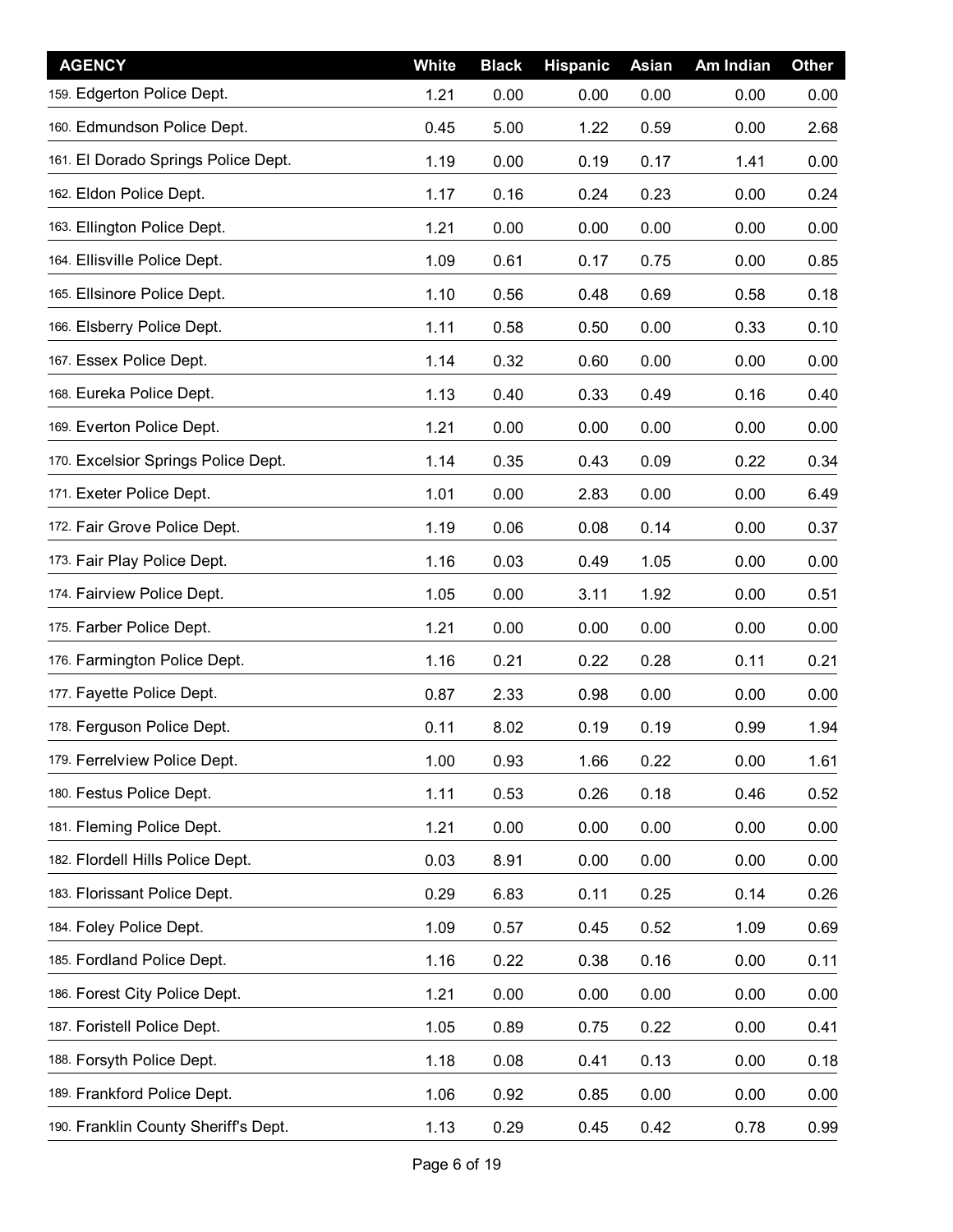| <b>AGENCY</b>                        | White | <b>Black</b> | <b>Hispanic</b> | <b>Asian</b> | Am Indian | <b>Other</b> |
|--------------------------------------|-------|--------------|-----------------|--------------|-----------|--------------|
| 159. Edgerton Police Dept.           | 1.21  | 0.00         | 0.00            | 0.00         | 0.00      | 0.00         |
| 160. Edmundson Police Dept.          | 0.45  | 5.00         | 1.22            | 0.59         | 0.00      | 2.68         |
| 161. El Dorado Springs Police Dept.  | 1.19  | 0.00         | 0.19            | 0.17         | 1.41      | 0.00         |
| 162. Eldon Police Dept.              | 1.17  | 0.16         | 0.24            | 0.23         | 0.00      | 0.24         |
| 163. Ellington Police Dept.          | 1.21  | 0.00         | 0.00            | 0.00         | 0.00      | 0.00         |
| 164. Ellisville Police Dept.         | 1.09  | 0.61         | 0.17            | 0.75         | 0.00      | 0.85         |
| 165. Ellsinore Police Dept.          | 1.10  | 0.56         | 0.48            | 0.69         | 0.58      | 0.18         |
| 166. Elsberry Police Dept.           | 1.11  | 0.58         | 0.50            | 0.00         | 0.33      | 0.10         |
| 167. Essex Police Dept.              | 1.14  | 0.32         | 0.60            | 0.00         | 0.00      | 0.00         |
| 168. Eureka Police Dept.             | 1.13  | 0.40         | 0.33            | 0.49         | 0.16      | 0.40         |
| 169. Everton Police Dept.            | 1.21  | 0.00         | 0.00            | 0.00         | 0.00      | 0.00         |
| 170. Excelsior Springs Police Dept.  | 1.14  | 0.35         | 0.43            | 0.09         | 0.22      | 0.34         |
| 171. Exeter Police Dept.             | 1.01  | 0.00         | 2.83            | 0.00         | 0.00      | 6.49         |
| 172. Fair Grove Police Dept.         | 1.19  | 0.06         | 0.08            | 0.14         | 0.00      | 0.37         |
| 173. Fair Play Police Dept.          | 1.16  | 0.03         | 0.49            | 1.05         | 0.00      | 0.00         |
| 174. Fairview Police Dept.           | 1.05  | 0.00         | 3.11            | 1.92         | 0.00      | 0.51         |
| 175. Farber Police Dept.             | 1.21  | 0.00         | 0.00            | 0.00         | 0.00      | 0.00         |
| 176. Farmington Police Dept.         | 1.16  | 0.21         | 0.22            | 0.28         | 0.11      | 0.21         |
| 177. Fayette Police Dept.            | 0.87  | 2.33         | 0.98            | 0.00         | 0.00      | 0.00         |
| 178. Ferguson Police Dept.           | 0.11  | 8.02         | 0.19            | 0.19         | 0.99      | 1.94         |
| 179. Ferrelview Police Dept.         | 1.00  | 0.93         | 1.66            | 0.22         | 0.00      | 1.61         |
| 180. Festus Police Dept.             | 1.11  | 0.53         | 0.26            | 0.18         | 0.46      | 0.52         |
| 181. Fleming Police Dept.            | 1.21  | 0.00         | 0.00            | 0.00         | 0.00      | 0.00         |
| 182. Flordell Hills Police Dept.     | 0.03  | 8.91         | 0.00            | 0.00         | 0.00      | 0.00         |
| 183. Florissant Police Dept.         | 0.29  | 6.83         | 0.11            | 0.25         | 0.14      | 0.26         |
| 184. Foley Police Dept.              | 1.09  | 0.57         | 0.45            | 0.52         | 1.09      | 0.69         |
| 185. Fordland Police Dept.           | 1.16  | 0.22         | 0.38            | 0.16         | 0.00      | 0.11         |
| 186. Forest City Police Dept.        | 1.21  | 0.00         | 0.00            | 0.00         | 0.00      | 0.00         |
| 187. Foristell Police Dept.          | 1.05  | 0.89         | 0.75            | 0.22         | 0.00      | 0.41         |
| 188. Forsyth Police Dept.            | 1.18  | 0.08         | 0.41            | 0.13         | 0.00      | 0.18         |
| 189. Frankford Police Dept.          | 1.06  | 0.92         | 0.85            | 0.00         | 0.00      | 0.00         |
| 190. Franklin County Sheriff's Dept. | 1.13  | 0.29         | 0.45            | 0.42         | 0.78      | 0.99         |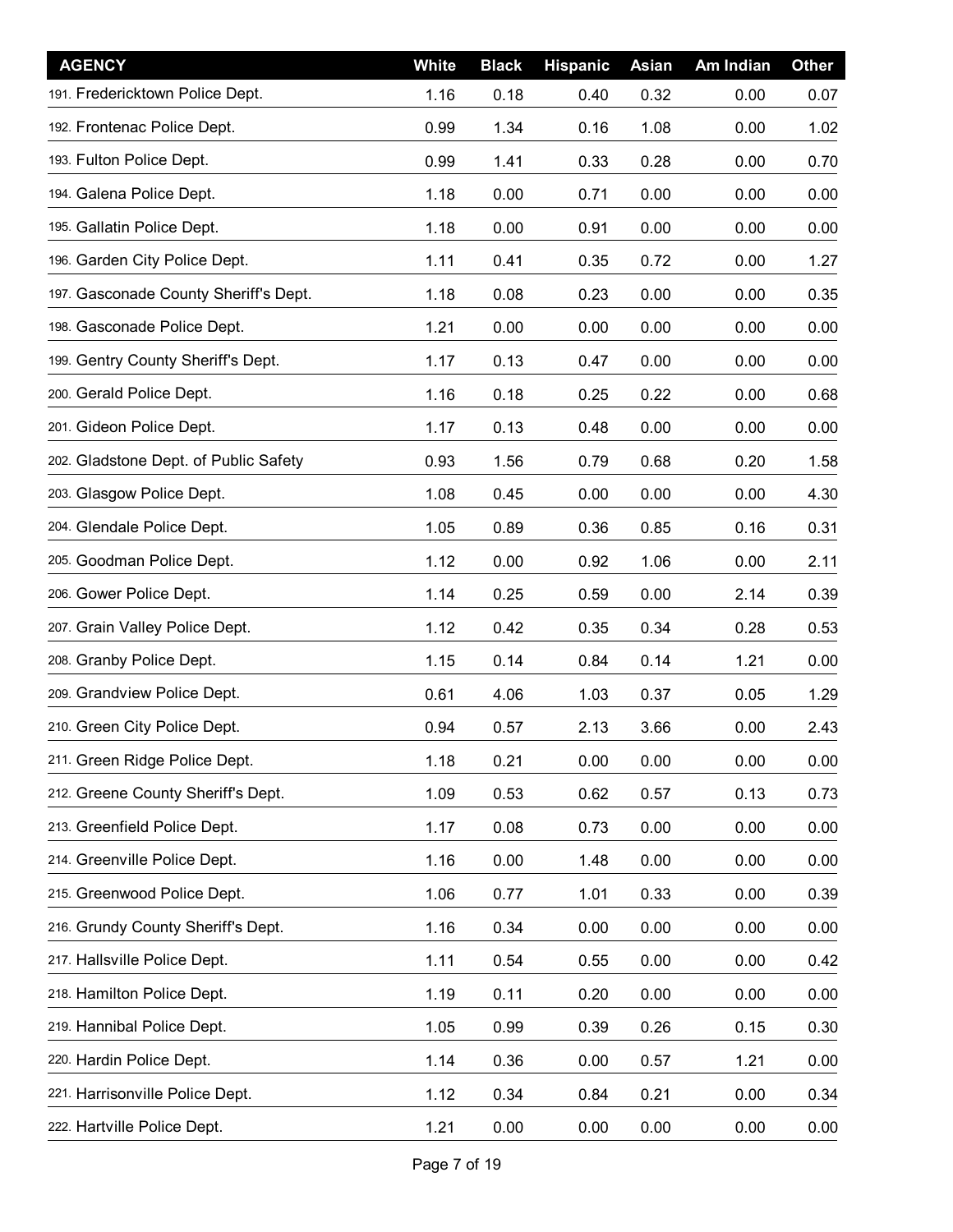| <b>AGENCY</b>                         | White | <b>Black</b> | <b>Hispanic</b> | <b>Asian</b> | Am Indian | <b>Other</b> |
|---------------------------------------|-------|--------------|-----------------|--------------|-----------|--------------|
| 191. Fredericktown Police Dept.       | 1.16  | 0.18         | 0.40            | 0.32         | 0.00      | 0.07         |
| 192. Frontenac Police Dept.           | 0.99  | 1.34         | 0.16            | 1.08         | 0.00      | 1.02         |
| 193. Fulton Police Dept.              | 0.99  | 1.41         | 0.33            | 0.28         | 0.00      | 0.70         |
| 194. Galena Police Dept.              | 1.18  | 0.00         | 0.71            | 0.00         | 0.00      | 0.00         |
| 195. Gallatin Police Dept.            | 1.18  | 0.00         | 0.91            | 0.00         | 0.00      | 0.00         |
| 196. Garden City Police Dept.         | 1.11  | 0.41         | 0.35            | 0.72         | 0.00      | 1.27         |
| 197. Gasconade County Sheriff's Dept. | 1.18  | 0.08         | 0.23            | 0.00         | 0.00      | 0.35         |
| 198. Gasconade Police Dept.           | 1.21  | 0.00         | 0.00            | 0.00         | 0.00      | 0.00         |
| 199. Gentry County Sheriff's Dept.    | 1.17  | 0.13         | 0.47            | 0.00         | 0.00      | 0.00         |
| 200. Gerald Police Dept.              | 1.16  | 0.18         | 0.25            | 0.22         | 0.00      | 0.68         |
| 201. Gideon Police Dept.              | 1.17  | 0.13         | 0.48            | 0.00         | 0.00      | 0.00         |
| 202. Gladstone Dept. of Public Safety | 0.93  | 1.56         | 0.79            | 0.68         | 0.20      | 1.58         |
| 203. Glasgow Police Dept.             | 1.08  | 0.45         | 0.00            | 0.00         | 0.00      | 4.30         |
| 204. Glendale Police Dept.            | 1.05  | 0.89         | 0.36            | 0.85         | 0.16      | 0.31         |
| 205. Goodman Police Dept.             | 1.12  | 0.00         | 0.92            | 1.06         | 0.00      | 2.11         |
| 206. Gower Police Dept.               | 1.14  | 0.25         | 0.59            | 0.00         | 2.14      | 0.39         |
| 207. Grain Valley Police Dept.        | 1.12  | 0.42         | 0.35            | 0.34         | 0.28      | 0.53         |
| 208. Granby Police Dept.              | 1.15  | 0.14         | 0.84            | 0.14         | 1.21      | 0.00         |
| 209. Grandview Police Dept.           | 0.61  | 4.06         | 1.03            | 0.37         | 0.05      | 1.29         |
| 210. Green City Police Dept.          | 0.94  | 0.57         | 2.13            | 3.66         | 0.00      | 2.43         |
| 211. Green Ridge Police Dept.         | 1.18  | 0.21         | 0.00            | 0.00         | 0.00      | 0.00         |
| 212. Greene County Sheriff's Dept.    | 1.09  | 0.53         | 0.62            | 0.57         | 0.13      | 0.73         |
| 213. Greenfield Police Dept.          | 1.17  | 0.08         | 0.73            | 0.00         | 0.00      | 0.00         |
| 214. Greenville Police Dept.          | 1.16  | 0.00         | 1.48            | 0.00         | 0.00      | 0.00         |
| 215. Greenwood Police Dept.           | 1.06  | 0.77         | 1.01            | 0.33         | 0.00      | 0.39         |
| 216. Grundy County Sheriff's Dept.    | 1.16  | 0.34         | 0.00            | 0.00         | 0.00      | 0.00         |
| 217. Hallsville Police Dept.          | 1.11  | 0.54         | 0.55            | 0.00         | 0.00      | 0.42         |
| 218. Hamilton Police Dept.            | 1.19  | 0.11         | 0.20            | 0.00         | 0.00      | 0.00         |
| 219. Hannibal Police Dept.            | 1.05  | 0.99         | 0.39            | 0.26         | 0.15      | 0.30         |
| 220. Hardin Police Dept.              | 1.14  | 0.36         | 0.00            | 0.57         | 1.21      | 0.00         |
| 221. Harrisonville Police Dept.       | 1.12  | 0.34         | 0.84            | 0.21         | 0.00      | 0.34         |
| 222. Hartville Police Dept.           | 1.21  | 0.00         | 0.00            | 0.00         | 0.00      | 0.00         |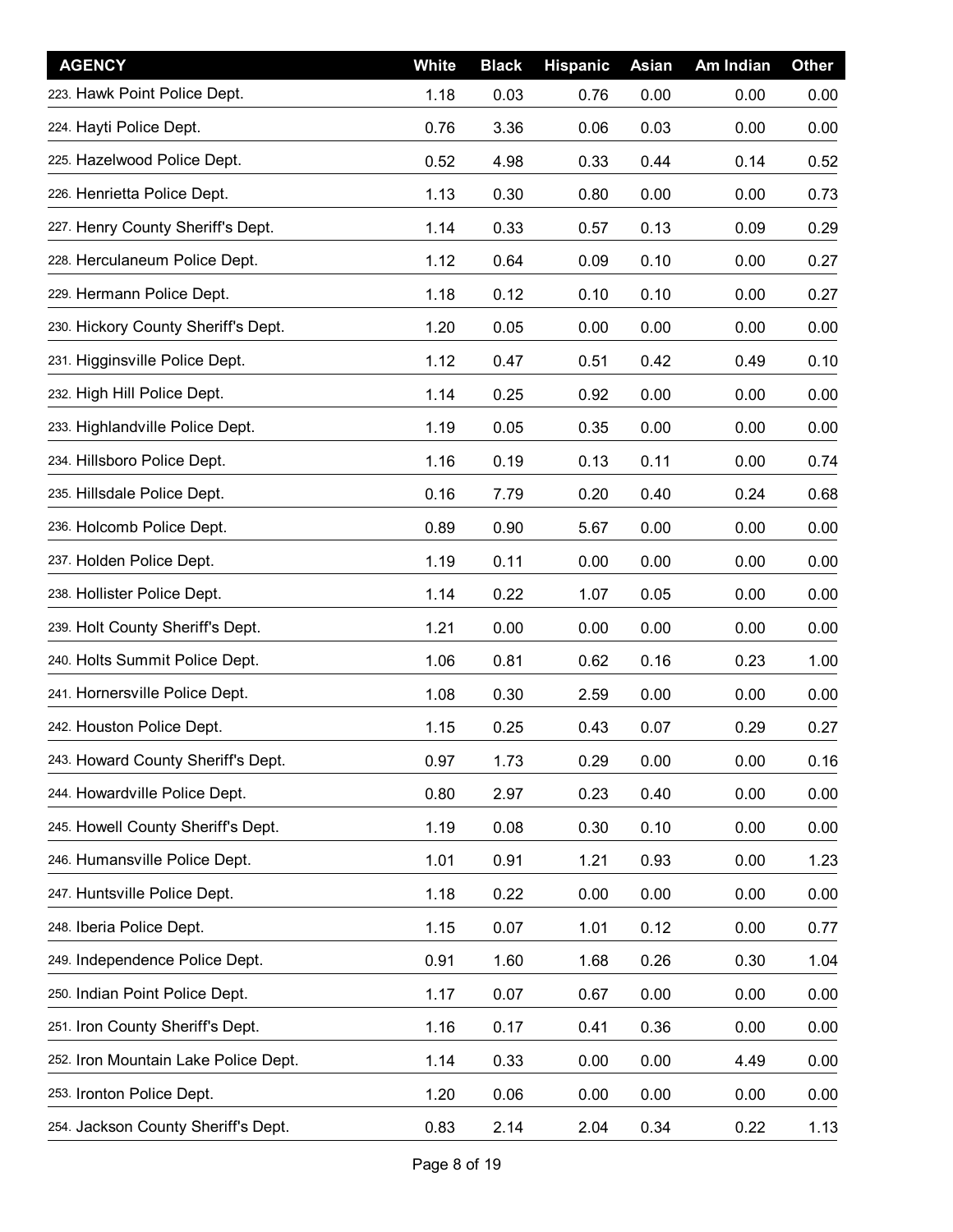| <b>AGENCY</b>                        | White | <b>Black</b> | <b>Hispanic</b> | <b>Asian</b> | Am Indian | <b>Other</b> |
|--------------------------------------|-------|--------------|-----------------|--------------|-----------|--------------|
| 223. Hawk Point Police Dept.         | 1.18  | 0.03         | 0.76            | 0.00         | 0.00      | 0.00         |
| 224. Hayti Police Dept.              | 0.76  | 3.36         | 0.06            | 0.03         | 0.00      | 0.00         |
| 225. Hazelwood Police Dept.          | 0.52  | 4.98         | 0.33            | 0.44         | 0.14      | 0.52         |
| 226. Henrietta Police Dept.          | 1.13  | 0.30         | 0.80            | 0.00         | 0.00      | 0.73         |
| 227. Henry County Sheriff's Dept.    | 1.14  | 0.33         | 0.57            | 0.13         | 0.09      | 0.29         |
| 228. Herculaneum Police Dept.        | 1.12  | 0.64         | 0.09            | 0.10         | 0.00      | 0.27         |
| 229. Hermann Police Dept.            | 1.18  | 0.12         | 0.10            | 0.10         | 0.00      | 0.27         |
| 230. Hickory County Sheriff's Dept.  | 1.20  | 0.05         | 0.00            | 0.00         | 0.00      | 0.00         |
| 231. Higginsville Police Dept.       | 1.12  | 0.47         | 0.51            | 0.42         | 0.49      | 0.10         |
| 232. High Hill Police Dept.          | 1.14  | 0.25         | 0.92            | 0.00         | 0.00      | 0.00         |
| 233. Highlandville Police Dept.      | 1.19  | 0.05         | 0.35            | 0.00         | 0.00      | 0.00         |
| 234. Hillsboro Police Dept.          | 1.16  | 0.19         | 0.13            | 0.11         | 0.00      | 0.74         |
| 235. Hillsdale Police Dept.          | 0.16  | 7.79         | 0.20            | 0.40         | 0.24      | 0.68         |
| 236. Holcomb Police Dept.            | 0.89  | 0.90         | 5.67            | 0.00         | 0.00      | 0.00         |
| 237. Holden Police Dept.             | 1.19  | 0.11         | 0.00            | 0.00         | 0.00      | 0.00         |
| 238. Hollister Police Dept.          | 1.14  | 0.22         | 1.07            | 0.05         | 0.00      | 0.00         |
| 239. Holt County Sheriff's Dept.     | 1.21  | 0.00         | 0.00            | 0.00         | 0.00      | 0.00         |
| 240. Holts Summit Police Dept.       | 1.06  | 0.81         | 0.62            | 0.16         | 0.23      | 1.00         |
| 241. Hornersville Police Dept.       | 1.08  | 0.30         | 2.59            | 0.00         | 0.00      | 0.00         |
| 242. Houston Police Dept.            | 1.15  | 0.25         | 0.43            | 0.07         | 0.29      | 0.27         |
| 243. Howard County Sheriff's Dept.   | 0.97  | 1.73         | 0.29            | 0.00         | 0.00      | 0.16         |
| 244. Howardville Police Dept.        | 0.80  | 2.97         | 0.23            | 0.40         | 0.00      | 0.00         |
| 245. Howell County Sheriff's Dept.   | 1.19  | 0.08         | 0.30            | 0.10         | 0.00      | 0.00         |
| 246. Humansville Police Dept.        | 1.01  | 0.91         | 1.21            | 0.93         | 0.00      | 1.23         |
| 247. Huntsville Police Dept.         | 1.18  | 0.22         | 0.00            | 0.00         | 0.00      | 0.00         |
| 248. Iberia Police Dept.             | 1.15  | 0.07         | 1.01            | 0.12         | 0.00      | 0.77         |
| 249. Independence Police Dept.       | 0.91  | 1.60         | 1.68            | 0.26         | 0.30      | 1.04         |
| 250. Indian Point Police Dept.       | 1.17  | 0.07         | 0.67            | 0.00         | 0.00      | 0.00         |
| 251. Iron County Sheriff's Dept.     | 1.16  | 0.17         | 0.41            | 0.36         | 0.00      | 0.00         |
| 252. Iron Mountain Lake Police Dept. | 1.14  | 0.33         | 0.00            | 0.00         | 4.49      | 0.00         |
| 253. Ironton Police Dept.            | 1.20  | 0.06         | 0.00            | 0.00         | 0.00      | 0.00         |
| 254. Jackson County Sheriff's Dept.  | 0.83  | 2.14         | 2.04            | 0.34         | 0.22      | 1.13         |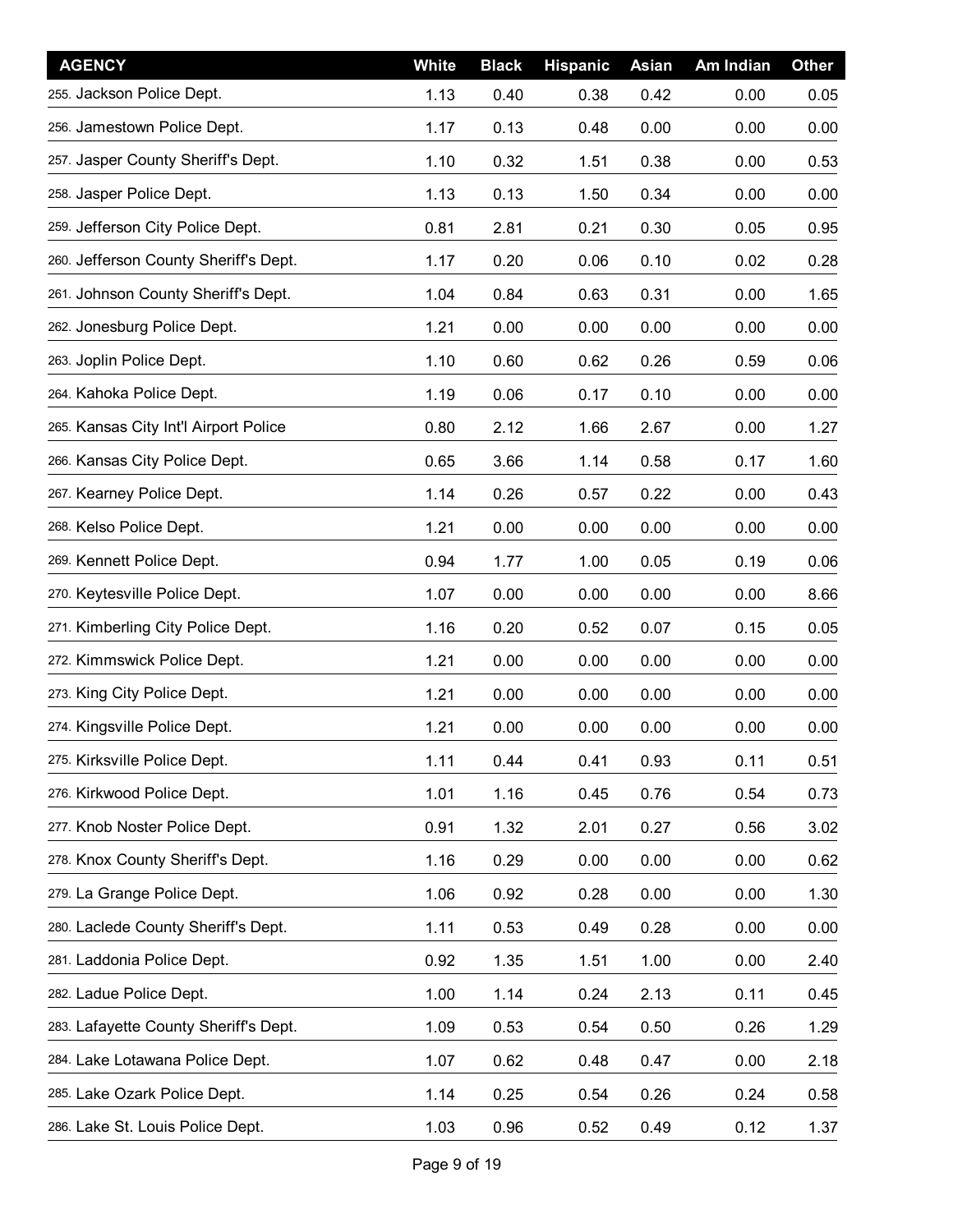| <b>AGENCY</b>                         | White | <b>Black</b> | <b>Hispanic</b> | <b>Asian</b> | Am Indian | <b>Other</b> |
|---------------------------------------|-------|--------------|-----------------|--------------|-----------|--------------|
| 255. Jackson Police Dept.             | 1.13  | 0.40         | 0.38            | 0.42         | 0.00      | 0.05         |
| 256. Jamestown Police Dept.           | 1.17  | 0.13         | 0.48            | 0.00         | 0.00      | 0.00         |
| 257. Jasper County Sheriff's Dept.    | 1.10  | 0.32         | 1.51            | 0.38         | 0.00      | 0.53         |
| 258. Jasper Police Dept.              | 1.13  | 0.13         | 1.50            | 0.34         | 0.00      | 0.00         |
| 259. Jefferson City Police Dept.      | 0.81  | 2.81         | 0.21            | 0.30         | 0.05      | 0.95         |
| 260. Jefferson County Sheriff's Dept. | 1.17  | 0.20         | 0.06            | 0.10         | 0.02      | 0.28         |
| 261. Johnson County Sheriff's Dept.   | 1.04  | 0.84         | 0.63            | 0.31         | 0.00      | 1.65         |
| 262. Jonesburg Police Dept.           | 1.21  | 0.00         | 0.00            | 0.00         | 0.00      | 0.00         |
| 263. Joplin Police Dept.              | 1.10  | 0.60         | 0.62            | 0.26         | 0.59      | 0.06         |
| 264. Kahoka Police Dept.              | 1.19  | 0.06         | 0.17            | 0.10         | 0.00      | 0.00         |
| 265. Kansas City Int'l Airport Police | 0.80  | 2.12         | 1.66            | 2.67         | 0.00      | 1.27         |
| 266. Kansas City Police Dept.         | 0.65  | 3.66         | 1.14            | 0.58         | 0.17      | 1.60         |
| 267. Kearney Police Dept.             | 1.14  | 0.26         | 0.57            | 0.22         | 0.00      | 0.43         |
| 268. Kelso Police Dept.               | 1.21  | 0.00         | 0.00            | 0.00         | 0.00      | 0.00         |
| 269. Kennett Police Dept.             | 0.94  | 1.77         | 1.00            | 0.05         | 0.19      | 0.06         |
| 270. Keytesville Police Dept.         | 1.07  | 0.00         | 0.00            | 0.00         | 0.00      | 8.66         |
| 271. Kimberling City Police Dept.     | 1.16  | 0.20         | 0.52            | 0.07         | 0.15      | 0.05         |
| 272. Kimmswick Police Dept.           | 1.21  | 0.00         | 0.00            | 0.00         | 0.00      | 0.00         |
| 273. King City Police Dept.           | 1.21  | 0.00         | 0.00            | 0.00         | 0.00      | 0.00         |
| 274. Kingsville Police Dept.          | 1.21  | 0.00         | 0.00            | 0.00         | 0.00      | 0.00         |
| 275. Kirksville Police Dept.          | 1.11  | 0.44         | 0.41            | 0.93         | 0.11      | 0.51         |
| 276. Kirkwood Police Dept.            | 1.01  | 1.16         | 0.45            | 0.76         | 0.54      | 0.73         |
| 277. Knob Noster Police Dept.         | 0.91  | 1.32         | 2.01            | 0.27         | 0.56      | 3.02         |
| 278. Knox County Sheriff's Dept.      | 1.16  | 0.29         | 0.00            | 0.00         | 0.00      | 0.62         |
| 279. La Grange Police Dept.           | 1.06  | 0.92         | 0.28            | 0.00         | 0.00      | 1.30         |
| 280. Laclede County Sheriff's Dept.   | 1.11  | 0.53         | 0.49            | 0.28         | 0.00      | 0.00         |
| 281. Laddonia Police Dept.            | 0.92  | 1.35         | 1.51            | 1.00         | 0.00      | 2.40         |
| 282. Ladue Police Dept.               | 1.00  | 1.14         | 0.24            | 2.13         | 0.11      | 0.45         |
| 283. Lafayette County Sheriff's Dept. | 1.09  | 0.53         | 0.54            | 0.50         | 0.26      | 1.29         |
| 284. Lake Lotawana Police Dept.       | 1.07  | 0.62         | 0.48            | 0.47         | 0.00      | 2.18         |
| 285. Lake Ozark Police Dept.          | 1.14  | 0.25         | 0.54            | 0.26         | 0.24      | 0.58         |
| 286. Lake St. Louis Police Dept.      | 1.03  | 0.96         | 0.52            | 0.49         | 0.12      | 1.37         |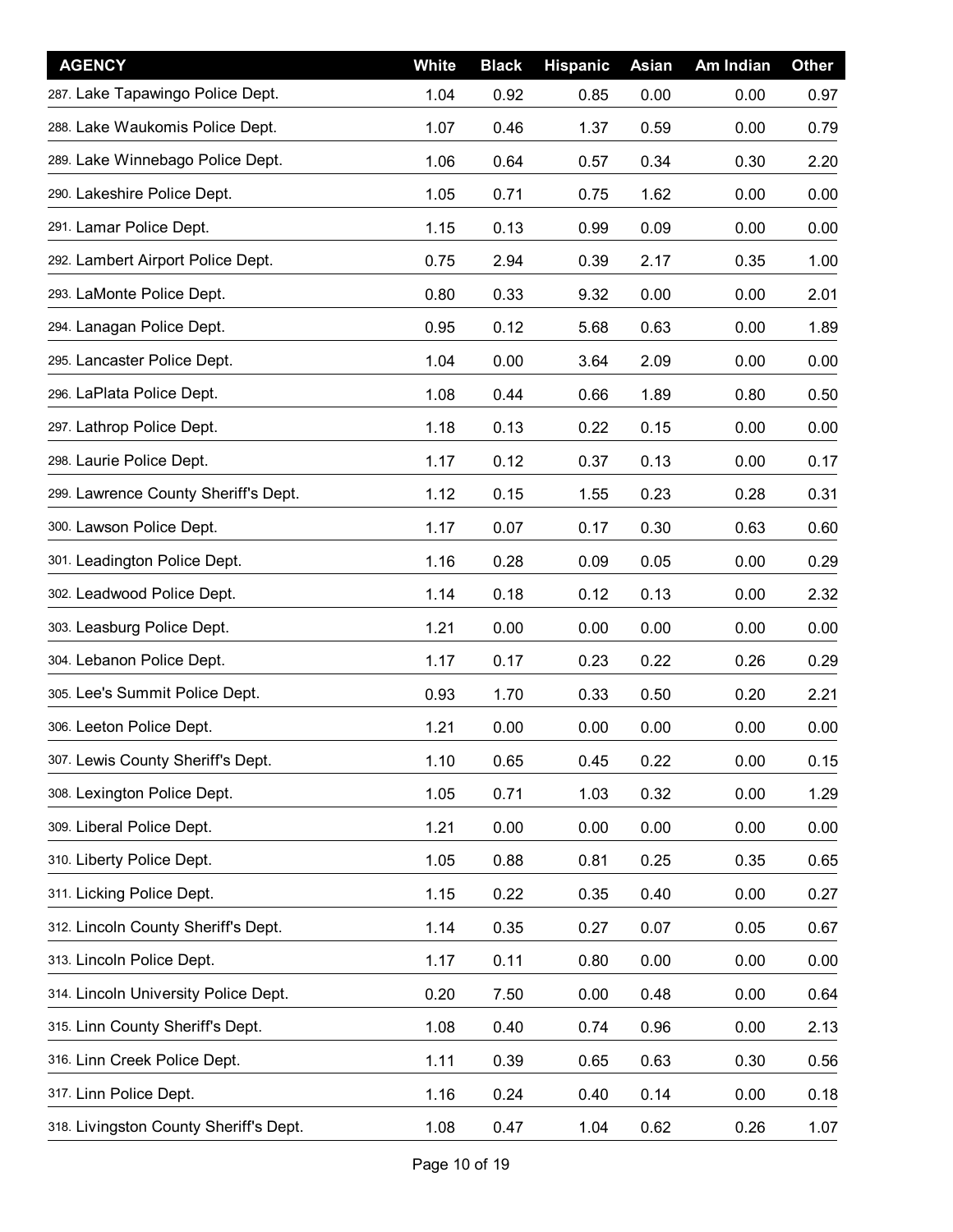| <b>AGENCY</b>                          | White | <b>Black</b> | <b>Hispanic</b> | <b>Asian</b> | Am Indian | <b>Other</b> |
|----------------------------------------|-------|--------------|-----------------|--------------|-----------|--------------|
| 287. Lake Tapawingo Police Dept.       | 1.04  | 0.92         | 0.85            | 0.00         | 0.00      | 0.97         |
| 288. Lake Waukomis Police Dept.        | 1.07  | 0.46         | 1.37            | 0.59         | 0.00      | 0.79         |
| 289. Lake Winnebago Police Dept.       | 1.06  | 0.64         | 0.57            | 0.34         | 0.30      | 2.20         |
| 290. Lakeshire Police Dept.            | 1.05  | 0.71         | 0.75            | 1.62         | 0.00      | 0.00         |
| 291. Lamar Police Dept.                | 1.15  | 0.13         | 0.99            | 0.09         | 0.00      | 0.00         |
| 292. Lambert Airport Police Dept.      | 0.75  | 2.94         | 0.39            | 2.17         | 0.35      | 1.00         |
| 293. LaMonte Police Dept.              | 0.80  | 0.33         | 9.32            | 0.00         | 0.00      | 2.01         |
| 294. Lanagan Police Dept.              | 0.95  | 0.12         | 5.68            | 0.63         | 0.00      | 1.89         |
| 295. Lancaster Police Dept.            | 1.04  | 0.00         | 3.64            | 2.09         | 0.00      | 0.00         |
| 296. LaPlata Police Dept.              | 1.08  | 0.44         | 0.66            | 1.89         | 0.80      | 0.50         |
| 297. Lathrop Police Dept.              | 1.18  | 0.13         | 0.22            | 0.15         | 0.00      | 0.00         |
| 298. Laurie Police Dept.               | 1.17  | 0.12         | 0.37            | 0.13         | 0.00      | 0.17         |
| 299. Lawrence County Sheriff's Dept.   | 1.12  | 0.15         | 1.55            | 0.23         | 0.28      | 0.31         |
| 300. Lawson Police Dept.               | 1.17  | 0.07         | 0.17            | 0.30         | 0.63      | 0.60         |
| 301. Leadington Police Dept.           | 1.16  | 0.28         | 0.09            | 0.05         | 0.00      | 0.29         |
| 302. Leadwood Police Dept.             | 1.14  | 0.18         | 0.12            | 0.13         | 0.00      | 2.32         |
| 303. Leasburg Police Dept.             | 1.21  | 0.00         | 0.00            | 0.00         | 0.00      | 0.00         |
| 304. Lebanon Police Dept.              | 1.17  | 0.17         | 0.23            | 0.22         | 0.26      | 0.29         |
| 305. Lee's Summit Police Dept.         | 0.93  | 1.70         | 0.33            | 0.50         | 0.20      | 2.21         |
| 306. Leeton Police Dept.               | 1.21  | 0.00         | 0.00            | 0.00         | 0.00      | 0.00         |
| 307. Lewis County Sheriff's Dept.      | 1.10  | 0.65         | 0.45            | 0.22         | 0.00      | 0.15         |
| 308. Lexington Police Dept.            | 1.05  | 0.71         | 1.03            | 0.32         | 0.00      | 1.29         |
| 309. Liberal Police Dept.              | 1.21  | 0.00         | 0.00            | 0.00         | 0.00      | 0.00         |
| 310. Liberty Police Dept.              | 1.05  | 0.88         | 0.81            | 0.25         | 0.35      | 0.65         |
| 311. Licking Police Dept.              | 1.15  | 0.22         | 0.35            | 0.40         | 0.00      | 0.27         |
| 312. Lincoln County Sheriff's Dept.    | 1.14  | 0.35         | 0.27            | 0.07         | 0.05      | 0.67         |
| 313. Lincoln Police Dept.              | 1.17  | 0.11         | 0.80            | 0.00         | 0.00      | 0.00         |
| 314. Lincoln University Police Dept.   | 0.20  | 7.50         | 0.00            | 0.48         | 0.00      | 0.64         |
| 315. Linn County Sheriff's Dept.       | 1.08  | 0.40         | 0.74            | 0.96         | 0.00      | 2.13         |
| 316. Linn Creek Police Dept.           | 1.11  | 0.39         | 0.65            | 0.63         | 0.30      | 0.56         |
| 317. Linn Police Dept.                 | 1.16  | 0.24         | 0.40            | 0.14         | 0.00      | 0.18         |
| 318. Livingston County Sheriff's Dept. | 1.08  | 0.47         | 1.04            | 0.62         | 0.26      | 1.07         |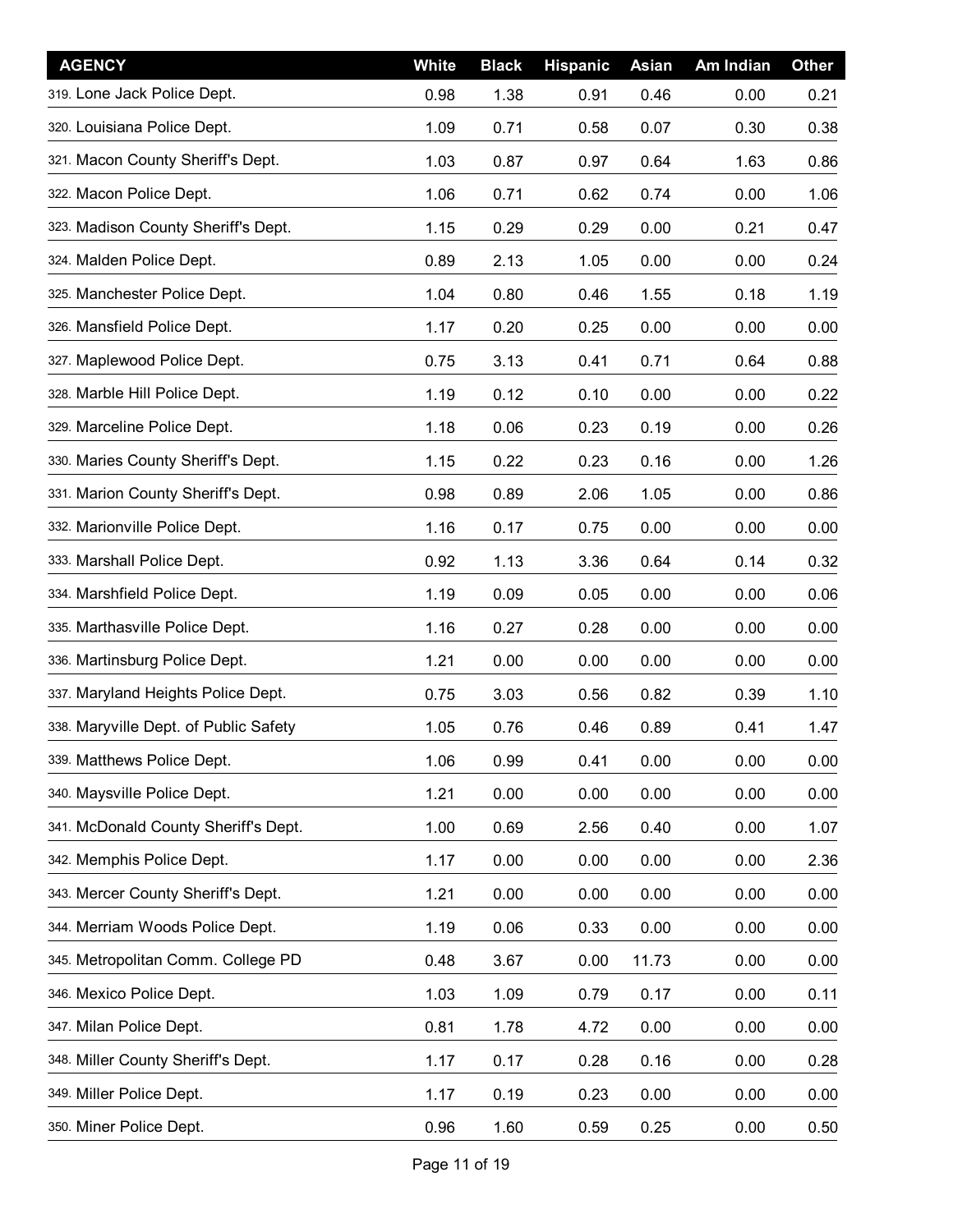| <b>AGENCY</b>                         | White | <b>Black</b> | <b>Hispanic</b> | <b>Asian</b> | Am Indian | <b>Other</b> |
|---------------------------------------|-------|--------------|-----------------|--------------|-----------|--------------|
| 319. Lone Jack Police Dept.           | 0.98  | 1.38         | 0.91            | 0.46         | 0.00      | 0.21         |
| 320. Louisiana Police Dept.           | 1.09  | 0.71         | 0.58            | 0.07         | 0.30      | 0.38         |
| 321. Macon County Sheriff's Dept.     | 1.03  | 0.87         | 0.97            | 0.64         | 1.63      | 0.86         |
| 322. Macon Police Dept.               | 1.06  | 0.71         | 0.62            | 0.74         | 0.00      | 1.06         |
| 323. Madison County Sheriff's Dept.   | 1.15  | 0.29         | 0.29            | 0.00         | 0.21      | 0.47         |
| 324. Malden Police Dept.              | 0.89  | 2.13         | 1.05            | 0.00         | 0.00      | 0.24         |
| 325. Manchester Police Dept.          | 1.04  | 0.80         | 0.46            | 1.55         | 0.18      | 1.19         |
| 326. Mansfield Police Dept.           | 1.17  | 0.20         | 0.25            | 0.00         | 0.00      | 0.00         |
| 327. Maplewood Police Dept.           | 0.75  | 3.13         | 0.41            | 0.71         | 0.64      | 0.88         |
| 328. Marble Hill Police Dept.         | 1.19  | 0.12         | 0.10            | 0.00         | 0.00      | 0.22         |
| 329. Marceline Police Dept.           | 1.18  | 0.06         | 0.23            | 0.19         | 0.00      | 0.26         |
| 330. Maries County Sheriff's Dept.    | 1.15  | 0.22         | 0.23            | 0.16         | 0.00      | 1.26         |
| 331. Marion County Sheriff's Dept.    | 0.98  | 0.89         | 2.06            | 1.05         | 0.00      | 0.86         |
| 332. Marionville Police Dept.         | 1.16  | 0.17         | 0.75            | 0.00         | 0.00      | 0.00         |
| 333. Marshall Police Dept.            | 0.92  | 1.13         | 3.36            | 0.64         | 0.14      | 0.32         |
| 334. Marshfield Police Dept.          | 1.19  | 0.09         | 0.05            | 0.00         | 0.00      | 0.06         |
| 335. Marthasville Police Dept.        | 1.16  | 0.27         | 0.28            | 0.00         | 0.00      | 0.00         |
| 336. Martinsburg Police Dept.         | 1.21  | 0.00         | 0.00            | 0.00         | 0.00      | 0.00         |
| 337. Maryland Heights Police Dept.    | 0.75  | 3.03         | 0.56            | 0.82         | 0.39      | 1.10         |
| 338. Maryville Dept. of Public Safety | 1.05  | 0.76         | 0.46            | 0.89         | 0.41      | 1.47         |
| 339. Matthews Police Dept.            | 1.06  | 0.99         | 0.41            | 0.00         | 0.00      | 0.00         |
| 340. Maysville Police Dept.           | 1.21  | 0.00         | 0.00            | 0.00         | 0.00      | 0.00         |
| 341. McDonald County Sheriff's Dept.  | 1.00  | 0.69         | 2.56            | 0.40         | 0.00      | 1.07         |
| 342. Memphis Police Dept.             | 1.17  | 0.00         | 0.00            | 0.00         | 0.00      | 2.36         |
| 343. Mercer County Sheriff's Dept.    | 1.21  | 0.00         | 0.00            | 0.00         | 0.00      | 0.00         |
| 344. Merriam Woods Police Dept.       | 1.19  | 0.06         | 0.33            | 0.00         | 0.00      | 0.00         |
| 345. Metropolitan Comm. College PD    | 0.48  | 3.67         | 0.00            | 11.73        | 0.00      | 0.00         |
| 346. Mexico Police Dept.              | 1.03  | 1.09         | 0.79            | 0.17         | 0.00      | 0.11         |
| 347. Milan Police Dept.               | 0.81  | 1.78         | 4.72            | 0.00         | 0.00      | 0.00         |
| 348. Miller County Sheriff's Dept.    | 1.17  | 0.17         | 0.28            | 0.16         | 0.00      | 0.28         |
| 349. Miller Police Dept.              | 1.17  | 0.19         | 0.23            | 0.00         | 0.00      | 0.00         |
| 350. Miner Police Dept.               | 0.96  | 1.60         | 0.59            | 0.25         | 0.00      | 0.50         |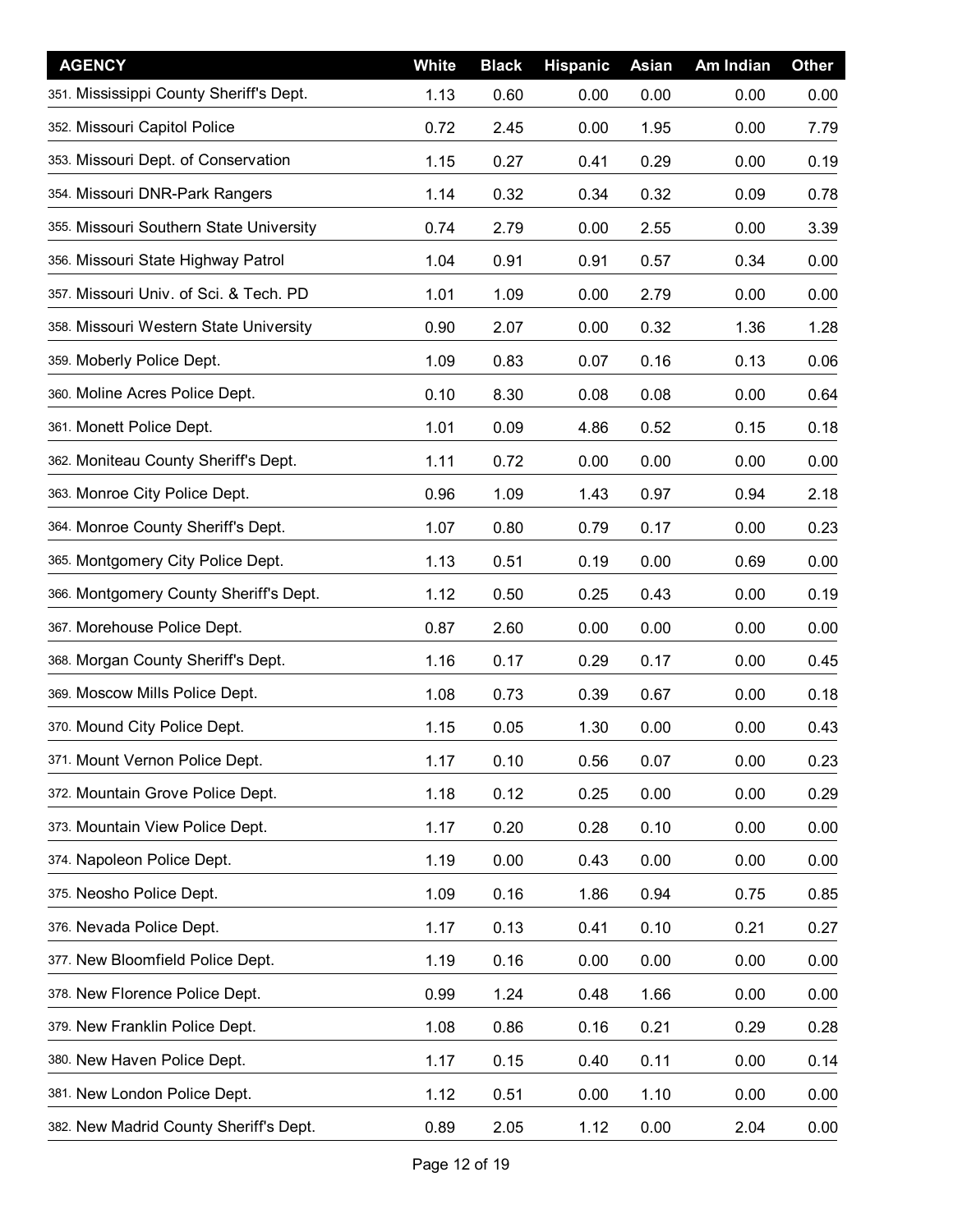| <b>AGENCY</b>                           | White | <b>Black</b> | <b>Hispanic</b> | Asian | Am Indian | <b>Other</b> |
|-----------------------------------------|-------|--------------|-----------------|-------|-----------|--------------|
| 351. Mississippi County Sheriff's Dept. | 1.13  | 0.60         | 0.00            | 0.00  | 0.00      | 0.00         |
| 352. Missouri Capitol Police            | 0.72  | 2.45         | 0.00            | 1.95  | 0.00      | 7.79         |
| 353. Missouri Dept. of Conservation     | 1.15  | 0.27         | 0.41            | 0.29  | 0.00      | 0.19         |
| 354. Missouri DNR-Park Rangers          | 1.14  | 0.32         | 0.34            | 0.32  | 0.09      | 0.78         |
| 355. Missouri Southern State University | 0.74  | 2.79         | 0.00            | 2.55  | 0.00      | 3.39         |
| 356. Missouri State Highway Patrol      | 1.04  | 0.91         | 0.91            | 0.57  | 0.34      | 0.00         |
| 357. Missouri Univ. of Sci. & Tech. PD  | 1.01  | 1.09         | 0.00            | 2.79  | 0.00      | 0.00         |
| 358. Missouri Western State University  | 0.90  | 2.07         | 0.00            | 0.32  | 1.36      | 1.28         |
| 359. Moberly Police Dept.               | 1.09  | 0.83         | 0.07            | 0.16  | 0.13      | 0.06         |
| 360. Moline Acres Police Dept.          | 0.10  | 8.30         | 0.08            | 0.08  | 0.00      | 0.64         |
| 361. Monett Police Dept.                | 1.01  | 0.09         | 4.86            | 0.52  | 0.15      | 0.18         |
| 362. Moniteau County Sheriff's Dept.    | 1.11  | 0.72         | 0.00            | 0.00  | 0.00      | 0.00         |
| 363. Monroe City Police Dept.           | 0.96  | 1.09         | 1.43            | 0.97  | 0.94      | 2.18         |
| 364. Monroe County Sheriff's Dept.      | 1.07  | 0.80         | 0.79            | 0.17  | 0.00      | 0.23         |
| 365. Montgomery City Police Dept.       | 1.13  | 0.51         | 0.19            | 0.00  | 0.69      | 0.00         |
| 366. Montgomery County Sheriff's Dept.  | 1.12  | 0.50         | 0.25            | 0.43  | 0.00      | 0.19         |
| 367. Morehouse Police Dept.             | 0.87  | 2.60         | 0.00            | 0.00  | 0.00      | 0.00         |
| 368. Morgan County Sheriff's Dept.      | 1.16  | 0.17         | 0.29            | 0.17  | 0.00      | 0.45         |
| 369. Moscow Mills Police Dept.          | 1.08  | 0.73         | 0.39            | 0.67  | 0.00      | 0.18         |
| 370. Mound City Police Dept.            | 1.15  | 0.05         | 1.30            | 0.00  | 0.00      | 0.43         |
| 371. Mount Vernon Police Dept.          | 1.17  | 0.10         | 0.56            | 0.07  | 0.00      | 0.23         |
| 372. Mountain Grove Police Dept.        | 1.18  | 0.12         | 0.25            | 0.00  | 0.00      | 0.29         |
| 373. Mountain View Police Dept.         | 1.17  | 0.20         | 0.28            | 0.10  | 0.00      | 0.00         |
| 374. Napoleon Police Dept.              | 1.19  | 0.00         | 0.43            | 0.00  | 0.00      | 0.00         |
| 375. Neosho Police Dept.                | 1.09  | 0.16         | 1.86            | 0.94  | 0.75      | 0.85         |
| 376. Nevada Police Dept.                | 1.17  | 0.13         | 0.41            | 0.10  | 0.21      | 0.27         |
| 377. New Bloomfield Police Dept.        | 1.19  | 0.16         | 0.00            | 0.00  | 0.00      | 0.00         |
| 378. New Florence Police Dept.          | 0.99  | 1.24         | 0.48            | 1.66  | 0.00      | 0.00         |
| 379. New Franklin Police Dept.          | 1.08  | 0.86         | 0.16            | 0.21  | 0.29      | 0.28         |
| 380. New Haven Police Dept.             | 1.17  | 0.15         | 0.40            | 0.11  | 0.00      | 0.14         |
| 381. New London Police Dept.            | 1.12  | 0.51         | 0.00            | 1.10  | 0.00      | 0.00         |
| 382. New Madrid County Sheriff's Dept.  | 0.89  | 2.05         | 1.12            | 0.00  | 2.04      | 0.00         |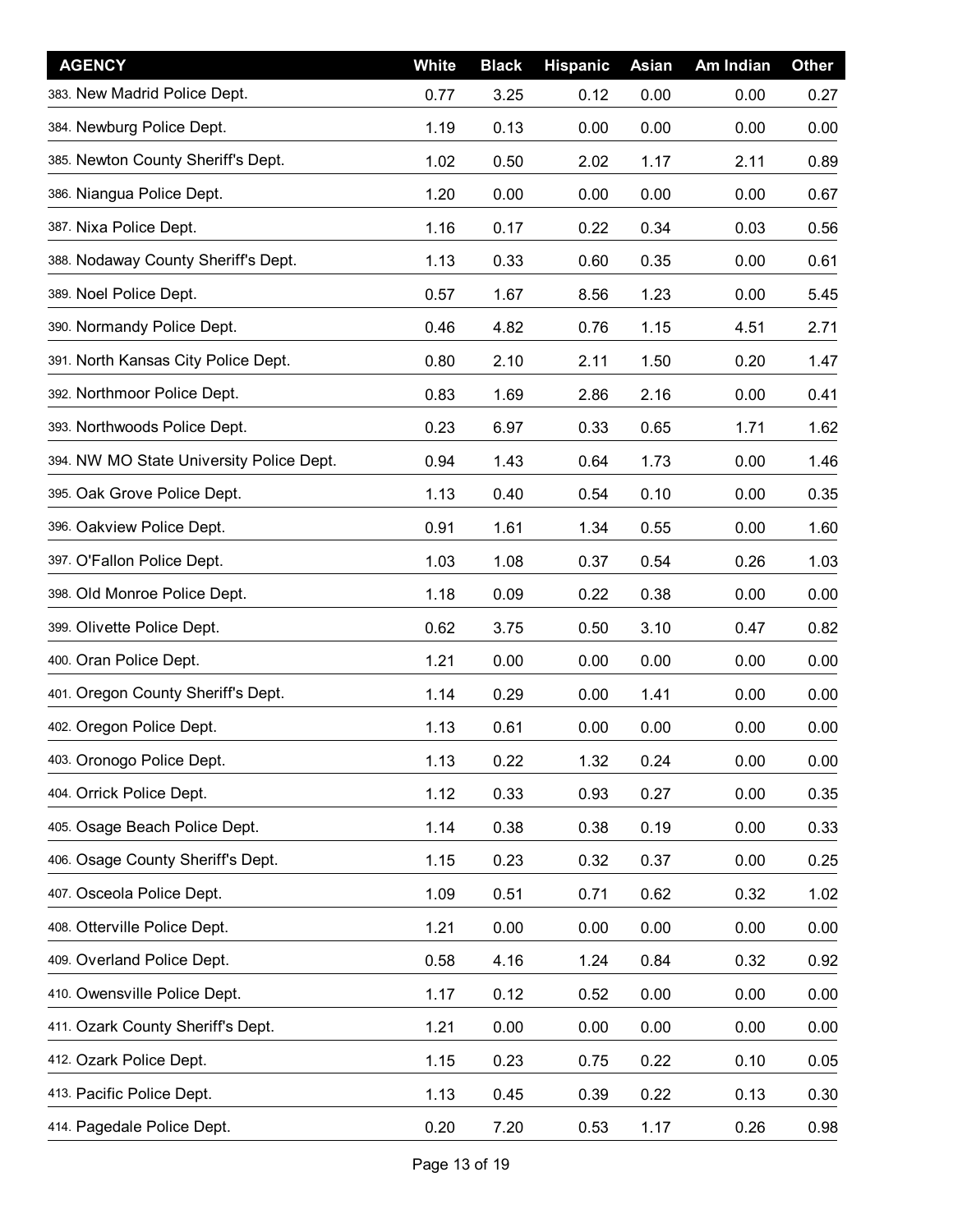| <b>AGENCY</b>                            | White | <b>Black</b> | <b>Hispanic</b> | Asian | Am Indian | <b>Other</b> |
|------------------------------------------|-------|--------------|-----------------|-------|-----------|--------------|
| 383. New Madrid Police Dept.             | 0.77  | 3.25         | 0.12            | 0.00  | 0.00      | 0.27         |
| 384. Newburg Police Dept.                | 1.19  | 0.13         | 0.00            | 0.00  | 0.00      | 0.00         |
| 385. Newton County Sheriff's Dept.       | 1.02  | 0.50         | 2.02            | 1.17  | 2.11      | 0.89         |
| 386. Niangua Police Dept.                | 1.20  | 0.00         | 0.00            | 0.00  | 0.00      | 0.67         |
| 387. Nixa Police Dept.                   | 1.16  | 0.17         | 0.22            | 0.34  | 0.03      | 0.56         |
| 388. Nodaway County Sheriff's Dept.      | 1.13  | 0.33         | 0.60            | 0.35  | 0.00      | 0.61         |
| 389. Noel Police Dept.                   | 0.57  | 1.67         | 8.56            | 1.23  | 0.00      | 5.45         |
| 390. Normandy Police Dept.               | 0.46  | 4.82         | 0.76            | 1.15  | 4.51      | 2.71         |
| 391. North Kansas City Police Dept.      | 0.80  | 2.10         | 2.11            | 1.50  | 0.20      | 1.47         |
| 392. Northmoor Police Dept.              | 0.83  | 1.69         | 2.86            | 2.16  | 0.00      | 0.41         |
| 393. Northwoods Police Dept.             | 0.23  | 6.97         | 0.33            | 0.65  | 1.71      | 1.62         |
| 394. NW MO State University Police Dept. | 0.94  | 1.43         | 0.64            | 1.73  | 0.00      | 1.46         |
| 395. Oak Grove Police Dept.              | 1.13  | 0.40         | 0.54            | 0.10  | 0.00      | 0.35         |
| 396. Oakview Police Dept.                | 0.91  | 1.61         | 1.34            | 0.55  | 0.00      | 1.60         |
| 397. O'Fallon Police Dept.               | 1.03  | 1.08         | 0.37            | 0.54  | 0.26      | 1.03         |
| 398. Old Monroe Police Dept.             | 1.18  | 0.09         | 0.22            | 0.38  | 0.00      | 0.00         |
| 399. Olivette Police Dept.               | 0.62  | 3.75         | 0.50            | 3.10  | 0.47      | 0.82         |
| 400. Oran Police Dept.                   | 1.21  | 0.00         | 0.00            | 0.00  | 0.00      | 0.00         |
| 401. Oregon County Sheriff's Dept.       | 1.14  | 0.29         | 0.00            | 1.41  | 0.00      | 0.00         |
| 402. Oregon Police Dept.                 | 1.13  | 0.61         | 0.00            | 0.00  | 0.00      | 0.00         |
| 403. Oronogo Police Dept.                | 1.13  | 0.22         | 1.32            | 0.24  | 0.00      | 0.00         |
| 404. Orrick Police Dept.                 | 1.12  | 0.33         | 0.93            | 0.27  | 0.00      | 0.35         |
| 405. Osage Beach Police Dept.            | 1.14  | 0.38         | 0.38            | 0.19  | 0.00      | 0.33         |
| 406. Osage County Sheriff's Dept.        | 1.15  | 0.23         | 0.32            | 0.37  | 0.00      | 0.25         |
| 407. Osceola Police Dept.                | 1.09  | 0.51         | 0.71            | 0.62  | 0.32      | 1.02         |
| 408. Otterville Police Dept.             | 1.21  | 0.00         | 0.00            | 0.00  | 0.00      | 0.00         |
| 409. Overland Police Dept.               | 0.58  | 4.16         | 1.24            | 0.84  | 0.32      | 0.92         |
| 410. Owensville Police Dept.             | 1.17  | 0.12         | 0.52            | 0.00  | 0.00      | 0.00         |
| 411. Ozark County Sheriff's Dept.        | 1.21  | 0.00         | 0.00            | 0.00  | 0.00      | 0.00         |
| 412. Ozark Police Dept.                  | 1.15  | 0.23         | 0.75            | 0.22  | 0.10      | 0.05         |
| 413. Pacific Police Dept.                | 1.13  | 0.45         | 0.39            | 0.22  | 0.13      | 0.30         |
| 414. Pagedale Police Dept.               | 0.20  | 7.20         | 0.53            | 1.17  | 0.26      | 0.98         |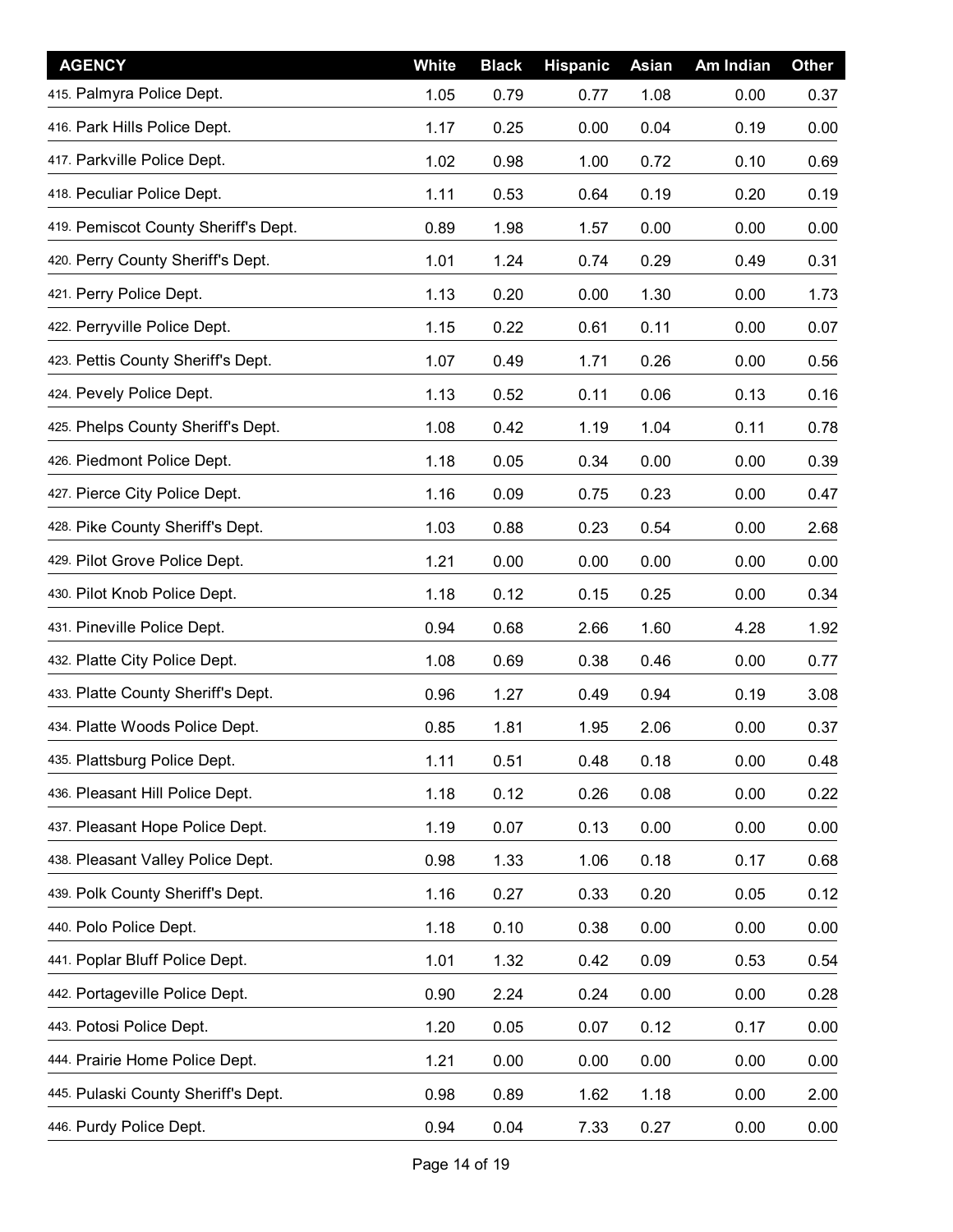| <b>AGENCY</b>                        | White | <b>Black</b> | <b>Hispanic</b> | Asian | Am Indian | <b>Other</b> |
|--------------------------------------|-------|--------------|-----------------|-------|-----------|--------------|
| 415. Palmyra Police Dept.            | 1.05  | 0.79         | 0.77            | 1.08  | 0.00      | 0.37         |
| 416. Park Hills Police Dept.         | 1.17  | 0.25         | 0.00            | 0.04  | 0.19      | 0.00         |
| 417. Parkville Police Dept.          | 1.02  | 0.98         | 1.00            | 0.72  | 0.10      | 0.69         |
| 418. Peculiar Police Dept.           | 1.11  | 0.53         | 0.64            | 0.19  | 0.20      | 0.19         |
| 419. Pemiscot County Sheriff's Dept. | 0.89  | 1.98         | 1.57            | 0.00  | 0.00      | 0.00         |
| 420. Perry County Sheriff's Dept.    | 1.01  | 1.24         | 0.74            | 0.29  | 0.49      | 0.31         |
| 421. Perry Police Dept.              | 1.13  | 0.20         | 0.00            | 1.30  | 0.00      | 1.73         |
| 422. Perryville Police Dept.         | 1.15  | 0.22         | 0.61            | 0.11  | 0.00      | 0.07         |
| 423. Pettis County Sheriff's Dept.   | 1.07  | 0.49         | 1.71            | 0.26  | 0.00      | 0.56         |
| 424. Pevely Police Dept.             | 1.13  | 0.52         | 0.11            | 0.06  | 0.13      | 0.16         |
| 425. Phelps County Sheriff's Dept.   | 1.08  | 0.42         | 1.19            | 1.04  | 0.11      | 0.78         |
| 426. Piedmont Police Dept.           | 1.18  | 0.05         | 0.34            | 0.00  | 0.00      | 0.39         |
| 427. Pierce City Police Dept.        | 1.16  | 0.09         | 0.75            | 0.23  | 0.00      | 0.47         |
| 428. Pike County Sheriff's Dept.     | 1.03  | 0.88         | 0.23            | 0.54  | 0.00      | 2.68         |
| 429. Pilot Grove Police Dept.        | 1.21  | 0.00         | 0.00            | 0.00  | 0.00      | 0.00         |
| 430. Pilot Knob Police Dept.         | 1.18  | 0.12         | 0.15            | 0.25  | 0.00      | 0.34         |
| 431. Pineville Police Dept.          | 0.94  | 0.68         | 2.66            | 1.60  | 4.28      | 1.92         |
| 432. Platte City Police Dept.        | 1.08  | 0.69         | 0.38            | 0.46  | 0.00      | 0.77         |
| 433. Platte County Sheriff's Dept.   | 0.96  | 1.27         | 0.49            | 0.94  | 0.19      | 3.08         |
| 434. Platte Woods Police Dept.       | 0.85  | 1.81         | 1.95            | 2.06  | 0.00      | 0.37         |
| 435. Plattsburg Police Dept.         | 1.11  | 0.51         | 0.48            | 0.18  | 0.00      | 0.48         |
| 436. Pleasant Hill Police Dept.      | 1.18  | 0.12         | 0.26            | 0.08  | 0.00      | 0.22         |
| 437. Pleasant Hope Police Dept.      | 1.19  | 0.07         | 0.13            | 0.00  | 0.00      | 0.00         |
| 438. Pleasant Valley Police Dept.    | 0.98  | 1.33         | 1.06            | 0.18  | 0.17      | 0.68         |
| 439. Polk County Sheriff's Dept.     | 1.16  | 0.27         | 0.33            | 0.20  | 0.05      | 0.12         |
| 440. Polo Police Dept.               | 1.18  | 0.10         | 0.38            | 0.00  | 0.00      | 0.00         |
| 441. Poplar Bluff Police Dept.       | 1.01  | 1.32         | 0.42            | 0.09  | 0.53      | 0.54         |
| 442. Portageville Police Dept.       | 0.90  | 2.24         | 0.24            | 0.00  | 0.00      | 0.28         |
| 443. Potosi Police Dept.             | 1.20  | 0.05         | 0.07            | 0.12  | 0.17      | 0.00         |
| 444. Prairie Home Police Dept.       | 1.21  | 0.00         | 0.00            | 0.00  | 0.00      | 0.00         |
| 445. Pulaski County Sheriff's Dept.  | 0.98  | 0.89         | 1.62            | 1.18  | 0.00      | 2.00         |
| 446. Purdy Police Dept.              | 0.94  | 0.04         | 7.33            | 0.27  | 0.00      | 0.00         |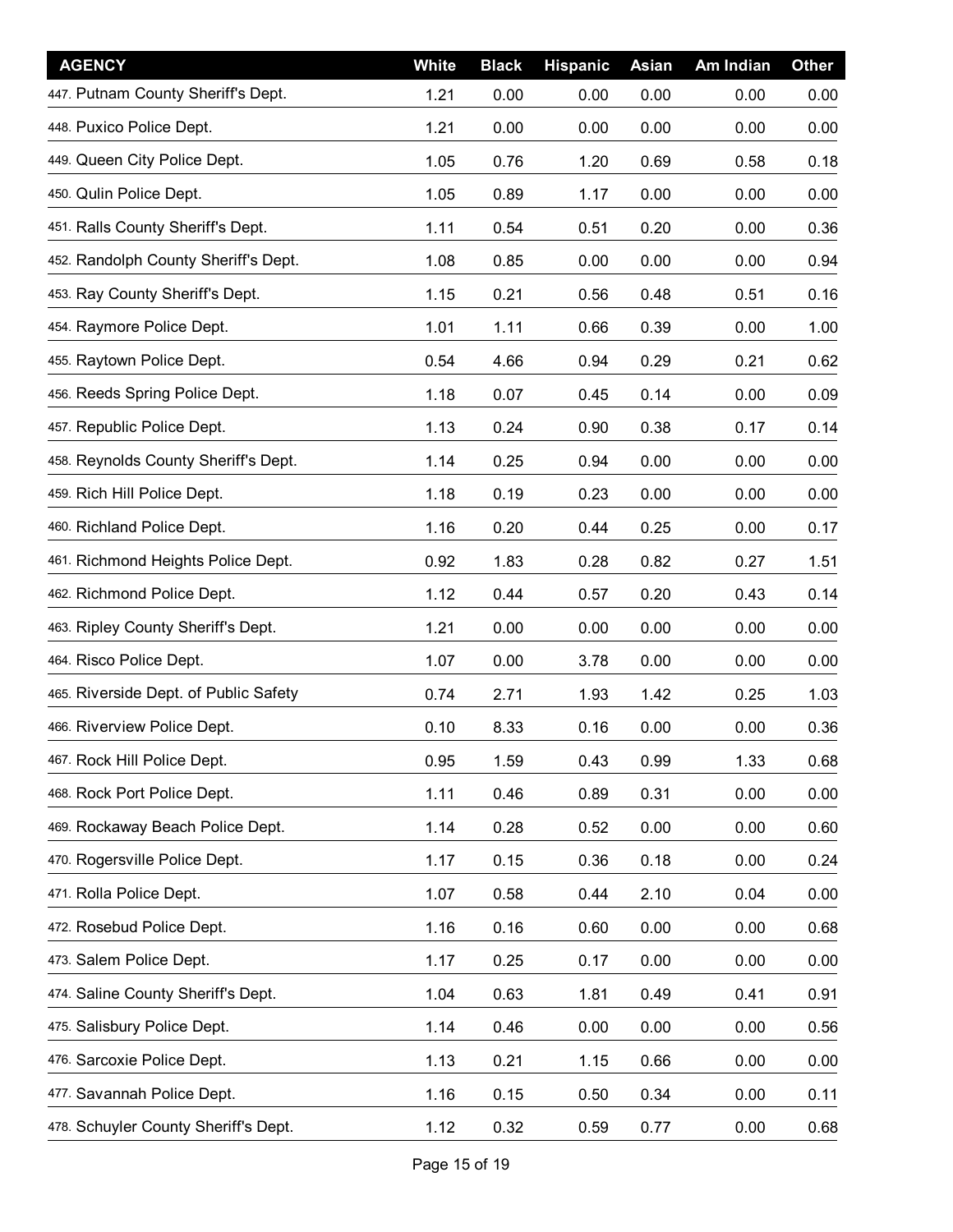| <b>AGENCY</b>                         | White | <b>Black</b> | <b>Hispanic</b> | Asian | Am Indian | <b>Other</b> |
|---------------------------------------|-------|--------------|-----------------|-------|-----------|--------------|
| 447. Putnam County Sheriff's Dept.    | 1.21  | 0.00         | 0.00            | 0.00  | 0.00      | 0.00         |
| 448. Puxico Police Dept.              | 1.21  | 0.00         | 0.00            | 0.00  | 0.00      | 0.00         |
| 449. Queen City Police Dept.          | 1.05  | 0.76         | 1.20            | 0.69  | 0.58      | 0.18         |
| 450. Qulin Police Dept.               | 1.05  | 0.89         | 1.17            | 0.00  | 0.00      | 0.00         |
| 451. Ralls County Sheriff's Dept.     | 1.11  | 0.54         | 0.51            | 0.20  | 0.00      | 0.36         |
| 452. Randolph County Sheriff's Dept.  | 1.08  | 0.85         | 0.00            | 0.00  | 0.00      | 0.94         |
| 453. Ray County Sheriff's Dept.       | 1.15  | 0.21         | 0.56            | 0.48  | 0.51      | 0.16         |
| 454. Raymore Police Dept.             | 1.01  | 1.11         | 0.66            | 0.39  | 0.00      | 1.00         |
| 455. Raytown Police Dept.             | 0.54  | 4.66         | 0.94            | 0.29  | 0.21      | 0.62         |
| 456. Reeds Spring Police Dept.        | 1.18  | 0.07         | 0.45            | 0.14  | 0.00      | 0.09         |
| 457. Republic Police Dept.            | 1.13  | 0.24         | 0.90            | 0.38  | 0.17      | 0.14         |
| 458. Reynolds County Sheriff's Dept.  | 1.14  | 0.25         | 0.94            | 0.00  | 0.00      | 0.00         |
| 459. Rich Hill Police Dept.           | 1.18  | 0.19         | 0.23            | 0.00  | 0.00      | 0.00         |
| 460. Richland Police Dept.            | 1.16  | 0.20         | 0.44            | 0.25  | 0.00      | 0.17         |
| 461. Richmond Heights Police Dept.    | 0.92  | 1.83         | 0.28            | 0.82  | 0.27      | 1.51         |
| 462. Richmond Police Dept.            | 1.12  | 0.44         | 0.57            | 0.20  | 0.43      | 0.14         |
| 463. Ripley County Sheriff's Dept.    | 1.21  | 0.00         | 0.00            | 0.00  | 0.00      | 0.00         |
| 464. Risco Police Dept.               | 1.07  | 0.00         | 3.78            | 0.00  | 0.00      | 0.00         |
| 465. Riverside Dept. of Public Safety | 0.74  | 2.71         | 1.93            | 1.42  | 0.25      | 1.03         |
| 466. Riverview Police Dept.           | 0.10  | 8.33         | 0.16            | 0.00  | 0.00      | 0.36         |
| 467. Rock Hill Police Dept.           | 0.95  | 1.59         | 0.43            | 0.99  | 1.33      | 0.68         |
| 468. Rock Port Police Dept.           | 1.11  | 0.46         | 0.89            | 0.31  | 0.00      | 0.00         |
| 469. Rockaway Beach Police Dept.      | 1.14  | 0.28         | 0.52            | 0.00  | 0.00      | 0.60         |
| 470. Rogersville Police Dept.         | 1.17  | 0.15         | 0.36            | 0.18  | 0.00      | 0.24         |
| 471. Rolla Police Dept.               | 1.07  | 0.58         | 0.44            | 2.10  | 0.04      | 0.00         |
| 472. Rosebud Police Dept.             | 1.16  | 0.16         | 0.60            | 0.00  | 0.00      | 0.68         |
| 473. Salem Police Dept.               | 1.17  | 0.25         | 0.17            | 0.00  | 0.00      | 0.00         |
| 474. Saline County Sheriff's Dept.    | 1.04  | 0.63         | 1.81            | 0.49  | 0.41      | 0.91         |
| 475. Salisbury Police Dept.           | 1.14  | 0.46         | 0.00            | 0.00  | 0.00      | 0.56         |
| 476. Sarcoxie Police Dept.            | 1.13  | 0.21         | 1.15            | 0.66  | 0.00      | 0.00         |
| 477. Savannah Police Dept.            | 1.16  | 0.15         | 0.50            | 0.34  | 0.00      | 0.11         |
| 478. Schuyler County Sheriff's Dept.  | 1.12  | 0.32         | 0.59            | 0.77  | 0.00      | 0.68         |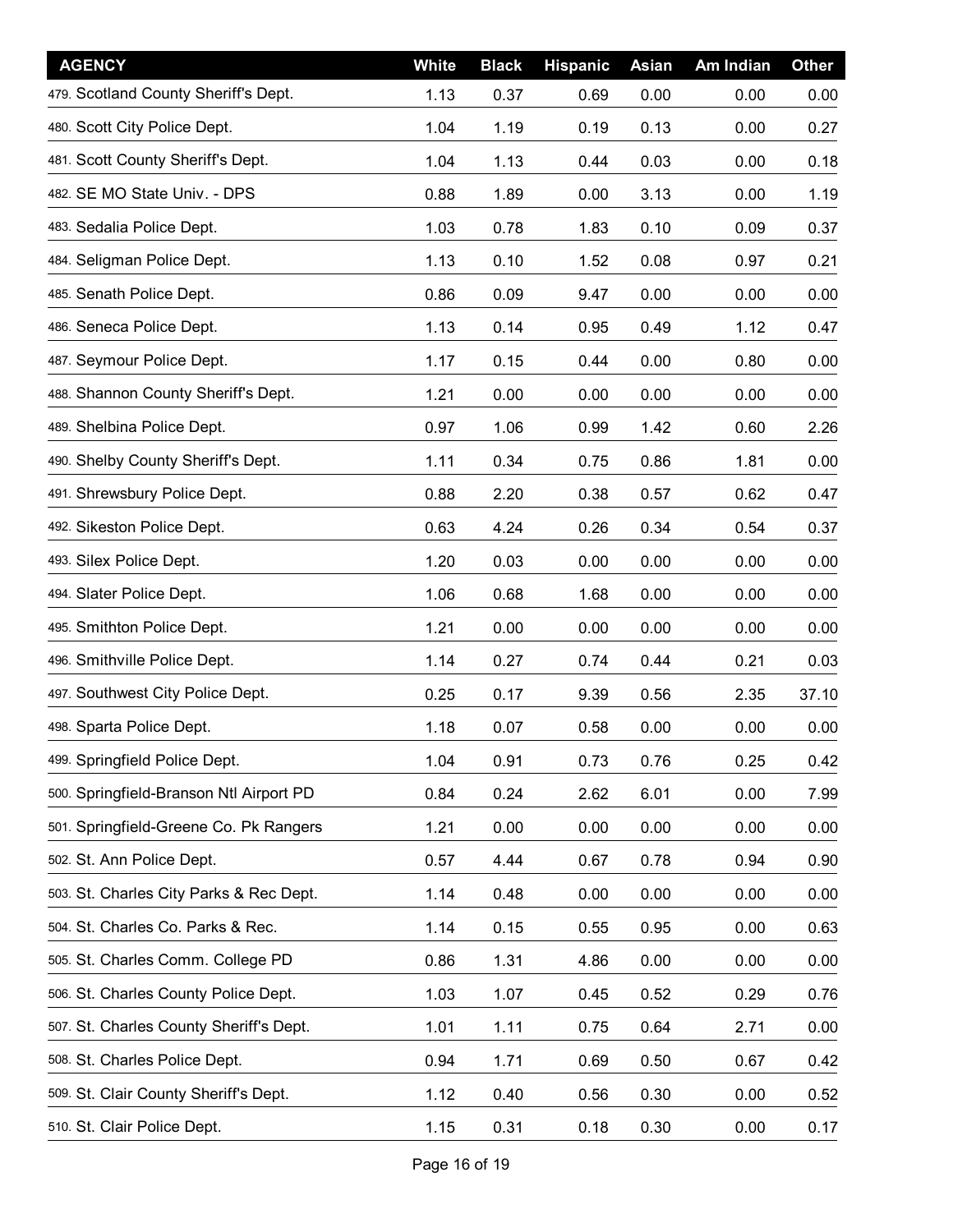| <b>AGENCY</b>                           | White | <b>Black</b> | <b>Hispanic</b> | Asian | Am Indian | <b>Other</b> |
|-----------------------------------------|-------|--------------|-----------------|-------|-----------|--------------|
| 479. Scotland County Sheriff's Dept.    | 1.13  | 0.37         | 0.69            | 0.00  | 0.00      | 0.00         |
| 480. Scott City Police Dept.            | 1.04  | 1.19         | 0.19            | 0.13  | 0.00      | 0.27         |
| 481. Scott County Sheriff's Dept.       | 1.04  | 1.13         | 0.44            | 0.03  | 0.00      | 0.18         |
| 482. SE MO State Univ. - DPS            | 0.88  | 1.89         | 0.00            | 3.13  | 0.00      | 1.19         |
| 483. Sedalia Police Dept.               | 1.03  | 0.78         | 1.83            | 0.10  | 0.09      | 0.37         |
| 484. Seligman Police Dept.              | 1.13  | 0.10         | 1.52            | 0.08  | 0.97      | 0.21         |
| 485. Senath Police Dept.                | 0.86  | 0.09         | 9.47            | 0.00  | 0.00      | 0.00         |
| 486. Seneca Police Dept.                | 1.13  | 0.14         | 0.95            | 0.49  | 1.12      | 0.47         |
| 487. Seymour Police Dept.               | 1.17  | 0.15         | 0.44            | 0.00  | 0.80      | 0.00         |
| 488. Shannon County Sheriff's Dept.     | 1.21  | 0.00         | 0.00            | 0.00  | 0.00      | 0.00         |
| 489. Shelbina Police Dept.              | 0.97  | 1.06         | 0.99            | 1.42  | 0.60      | 2.26         |
| 490. Shelby County Sheriff's Dept.      | 1.11  | 0.34         | 0.75            | 0.86  | 1.81      | 0.00         |
| 491. Shrewsbury Police Dept.            | 0.88  | 2.20         | 0.38            | 0.57  | 0.62      | 0.47         |
| 492. Sikeston Police Dept.              | 0.63  | 4.24         | 0.26            | 0.34  | 0.54      | 0.37         |
| 493. Silex Police Dept.                 | 1.20  | 0.03         | 0.00            | 0.00  | 0.00      | 0.00         |
| 494. Slater Police Dept.                | 1.06  | 0.68         | 1.68            | 0.00  | 0.00      | 0.00         |
| 495. Smithton Police Dept.              | 1.21  | 0.00         | 0.00            | 0.00  | 0.00      | 0.00         |
| 496. Smithville Police Dept.            | 1.14  | 0.27         | 0.74            | 0.44  | 0.21      | 0.03         |
| 497. Southwest City Police Dept.        | 0.25  | 0.17         | 9.39            | 0.56  | 2.35      | 37.10        |
| 498. Sparta Police Dept.                | 1.18  | 0.07         | 0.58            | 0.00  | 0.00      | 0.00         |
| 499. Springfield Police Dept.           | 1.04  | 0.91         | 0.73            | 0.76  | 0.25      | 0.42         |
| 500. Springfield-Branson Ntl Airport PD | 0.84  | 0.24         | 2.62            | 6.01  | 0.00      | 7.99         |
| 501. Springfield-Greene Co. Pk Rangers  | 1.21  | 0.00         | 0.00            | 0.00  | 0.00      | 0.00         |
| 502. St. Ann Police Dept.               | 0.57  | 4.44         | 0.67            | 0.78  | 0.94      | 0.90         |
| 503. St. Charles City Parks & Rec Dept. | 1.14  | 0.48         | 0.00            | 0.00  | 0.00      | 0.00         |
| 504. St. Charles Co. Parks & Rec.       | 1.14  | 0.15         | 0.55            | 0.95  | 0.00      | 0.63         |
| 505. St. Charles Comm. College PD       | 0.86  | 1.31         | 4.86            | 0.00  | 0.00      | 0.00         |
| 506. St. Charles County Police Dept.    | 1.03  | 1.07         | 0.45            | 0.52  | 0.29      | 0.76         |
| 507. St. Charles County Sheriff's Dept. | 1.01  | 1.11         | 0.75            | 0.64  | 2.71      | 0.00         |
| 508. St. Charles Police Dept.           | 0.94  | 1.71         | 0.69            | 0.50  | 0.67      | 0.42         |
| 509. St. Clair County Sheriff's Dept.   | 1.12  | 0.40         | 0.56            | 0.30  | 0.00      | 0.52         |
| 510. St. Clair Police Dept.             | 1.15  | 0.31         | 0.18            | 0.30  | 0.00      | 0.17         |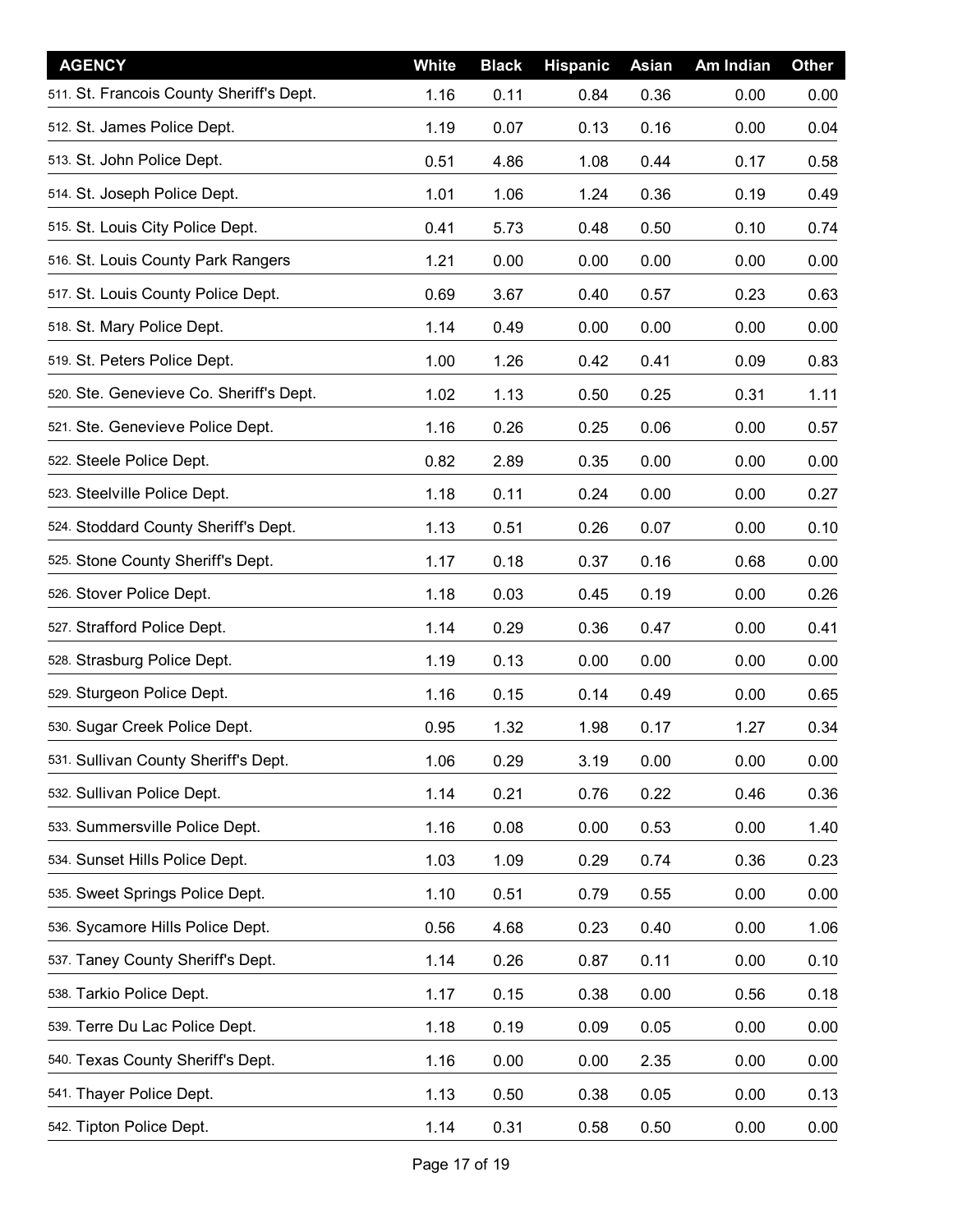| <b>AGENCY</b>                            | White | <b>Black</b> | <b>Hispanic</b> | Asian | Am Indian | <b>Other</b> |
|------------------------------------------|-------|--------------|-----------------|-------|-----------|--------------|
| 511. St. Francois County Sheriff's Dept. | 1.16  | 0.11         | 0.84            | 0.36  | 0.00      | 0.00         |
| 512. St. James Police Dept.              | 1.19  | 0.07         | 0.13            | 0.16  | 0.00      | 0.04         |
| 513. St. John Police Dept.               | 0.51  | 4.86         | 1.08            | 0.44  | 0.17      | 0.58         |
| 514. St. Joseph Police Dept.             | 1.01  | 1.06         | 1.24            | 0.36  | 0.19      | 0.49         |
| 515. St. Louis City Police Dept.         | 0.41  | 5.73         | 0.48            | 0.50  | 0.10      | 0.74         |
| 516. St. Louis County Park Rangers       | 1.21  | 0.00         | 0.00            | 0.00  | 0.00      | 0.00         |
| 517. St. Louis County Police Dept.       | 0.69  | 3.67         | 0.40            | 0.57  | 0.23      | 0.63         |
| 518. St. Mary Police Dept.               | 1.14  | 0.49         | 0.00            | 0.00  | 0.00      | 0.00         |
| 519. St. Peters Police Dept.             | 1.00  | 1.26         | 0.42            | 0.41  | 0.09      | 0.83         |
| 520. Ste. Genevieve Co. Sheriff's Dept.  | 1.02  | 1.13         | 0.50            | 0.25  | 0.31      | 1.11         |
| 521. Ste. Genevieve Police Dept.         | 1.16  | 0.26         | 0.25            | 0.06  | 0.00      | 0.57         |
| 522. Steele Police Dept.                 | 0.82  | 2.89         | 0.35            | 0.00  | 0.00      | 0.00         |
| 523. Steelville Police Dept.             | 1.18  | 0.11         | 0.24            | 0.00  | 0.00      | 0.27         |
| 524. Stoddard County Sheriff's Dept.     | 1.13  | 0.51         | 0.26            | 0.07  | 0.00      | 0.10         |
| 525. Stone County Sheriff's Dept.        | 1.17  | 0.18         | 0.37            | 0.16  | 0.68      | 0.00         |
| 526. Stover Police Dept.                 | 1.18  | 0.03         | 0.45            | 0.19  | 0.00      | 0.26         |
| 527. Strafford Police Dept.              | 1.14  | 0.29         | 0.36            | 0.47  | 0.00      | 0.41         |
| 528. Strasburg Police Dept.              | 1.19  | 0.13         | 0.00            | 0.00  | 0.00      | 0.00         |
| 529. Sturgeon Police Dept.               | 1.16  | 0.15         | 0.14            | 0.49  | 0.00      | 0.65         |
| 530. Sugar Creek Police Dept.            | 0.95  | 1.32         | 1.98            | 0.17  | 1.27      | 0.34         |
| 531. Sullivan County Sheriff's Dept.     | 1.06  | 0.29         | 3.19            | 0.00  | 0.00      | 0.00         |
| 532. Sullivan Police Dept.               | 1.14  | 0.21         | 0.76            | 0.22  | 0.46      | 0.36         |
| 533. Summersville Police Dept.           | 1.16  | 0.08         | 0.00            | 0.53  | 0.00      | 1.40         |
| 534. Sunset Hills Police Dept.           | 1.03  | 1.09         | 0.29            | 0.74  | 0.36      | 0.23         |
| 535. Sweet Springs Police Dept.          | 1.10  | 0.51         | 0.79            | 0.55  | 0.00      | 0.00         |
| 536. Sycamore Hills Police Dept.         | 0.56  | 4.68         | 0.23            | 0.40  | 0.00      | 1.06         |
| 537. Taney County Sheriff's Dept.        | 1.14  | 0.26         | 0.87            | 0.11  | 0.00      | 0.10         |
| 538. Tarkio Police Dept.                 | 1.17  | 0.15         | 0.38            | 0.00  | 0.56      | 0.18         |
| 539. Terre Du Lac Police Dept.           | 1.18  | 0.19         | 0.09            | 0.05  | 0.00      | 0.00         |
| 540. Texas County Sheriff's Dept.        | 1.16  | 0.00         | 0.00            | 2.35  | 0.00      | 0.00         |
| 541. Thayer Police Dept.                 | 1.13  | 0.50         | 0.38            | 0.05  | 0.00      | 0.13         |
| 542. Tipton Police Dept.                 | 1.14  | 0.31         | 0.58            | 0.50  | 0.00      | 0.00         |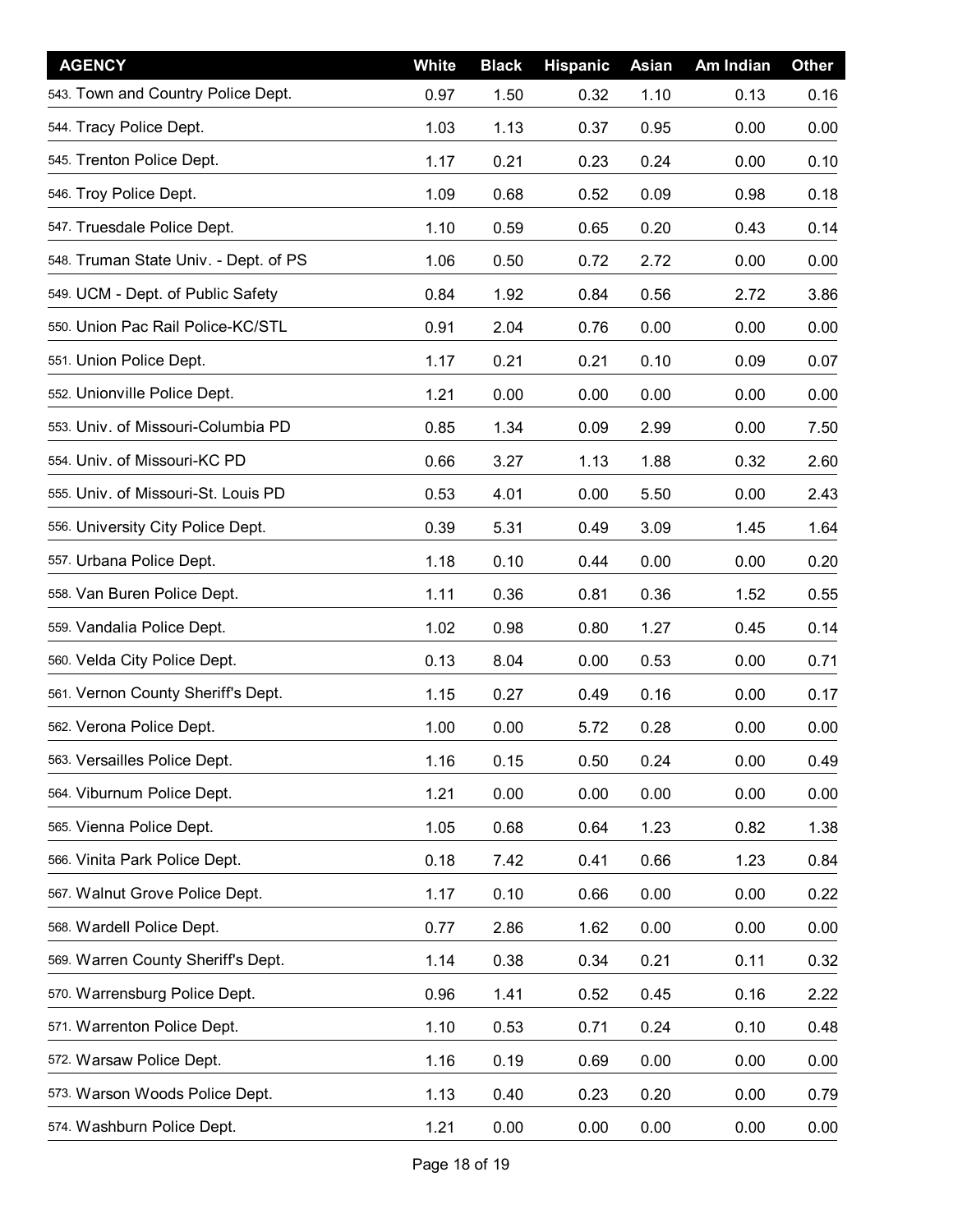| <b>AGENCY</b>                         | White | <b>Black</b> | <b>Hispanic</b> | <b>Asian</b> | Am Indian | <b>Other</b> |
|---------------------------------------|-------|--------------|-----------------|--------------|-----------|--------------|
| 543. Town and Country Police Dept.    | 0.97  | 1.50         | 0.32            | 1.10         | 0.13      | 0.16         |
| 544. Tracy Police Dept.               | 1.03  | 1.13         | 0.37            | 0.95         | 0.00      | 0.00         |
| 545. Trenton Police Dept.             | 1.17  | 0.21         | 0.23            | 0.24         | 0.00      | 0.10         |
| 546. Troy Police Dept.                | 1.09  | 0.68         | 0.52            | 0.09         | 0.98      | 0.18         |
| 547. Truesdale Police Dept.           | 1.10  | 0.59         | 0.65            | 0.20         | 0.43      | 0.14         |
| 548. Truman State Univ. - Dept. of PS | 1.06  | 0.50         | 0.72            | 2.72         | 0.00      | 0.00         |
| 549. UCM - Dept. of Public Safety     | 0.84  | 1.92         | 0.84            | 0.56         | 2.72      | 3.86         |
| 550. Union Pac Rail Police-KC/STL     | 0.91  | 2.04         | 0.76            | 0.00         | 0.00      | 0.00         |
| 551. Union Police Dept.               | 1.17  | 0.21         | 0.21            | 0.10         | 0.09      | 0.07         |
| 552. Unionville Police Dept.          | 1.21  | 0.00         | 0.00            | 0.00         | 0.00      | 0.00         |
| 553. Univ. of Missouri-Columbia PD    | 0.85  | 1.34         | 0.09            | 2.99         | 0.00      | 7.50         |
| 554. Univ. of Missouri-KC PD          | 0.66  | 3.27         | 1.13            | 1.88         | 0.32      | 2.60         |
| 555. Univ. of Missouri-St. Louis PD   | 0.53  | 4.01         | 0.00            | 5.50         | 0.00      | 2.43         |
| 556. University City Police Dept.     | 0.39  | 5.31         | 0.49            | 3.09         | 1.45      | 1.64         |
| 557. Urbana Police Dept.              | 1.18  | 0.10         | 0.44            | 0.00         | 0.00      | 0.20         |
| 558. Van Buren Police Dept.           | 1.11  | 0.36         | 0.81            | 0.36         | 1.52      | 0.55         |
| 559. Vandalia Police Dept.            | 1.02  | 0.98         | 0.80            | 1.27         | 0.45      | 0.14         |
| 560. Velda City Police Dept.          | 0.13  | 8.04         | 0.00            | 0.53         | 0.00      | 0.71         |
| 561. Vernon County Sheriff's Dept.    | 1.15  | 0.27         | 0.49            | 0.16         | 0.00      | 0.17         |
| 562. Verona Police Dept.              | 1.00  | 0.00         | 5.72            | 0.28         | 0.00      | 0.00         |
| 563. Versailles Police Dept.          | 1.16  | 0.15         | 0.50            | 0.24         | 0.00      | 0.49         |
| 564. Viburnum Police Dept.            | 1.21  | 0.00         | 0.00            | 0.00         | 0.00      | 0.00         |
| 565. Vienna Police Dept.              | 1.05  | 0.68         | 0.64            | 1.23         | 0.82      | 1.38         |
| 566. Vinita Park Police Dept.         | 0.18  | 7.42         | 0.41            | 0.66         | 1.23      | 0.84         |
| 567. Walnut Grove Police Dept.        | 1.17  | 0.10         | 0.66            | 0.00         | 0.00      | 0.22         |
| 568. Wardell Police Dept.             | 0.77  | 2.86         | 1.62            | 0.00         | 0.00      | 0.00         |
| 569. Warren County Sheriff's Dept.    | 1.14  | 0.38         | 0.34            | 0.21         | 0.11      | 0.32         |
| 570. Warrensburg Police Dept.         | 0.96  | 1.41         | 0.52            | 0.45         | 0.16      | 2.22         |
| 571. Warrenton Police Dept.           | 1.10  | 0.53         | 0.71            | 0.24         | 0.10      | 0.48         |
| 572. Warsaw Police Dept.              | 1.16  | 0.19         | 0.69            | 0.00         | 0.00      | 0.00         |
| 573. Warson Woods Police Dept.        | 1.13  | 0.40         | 0.23            | 0.20         | 0.00      | 0.79         |
| 574. Washburn Police Dept.            | 1.21  | 0.00         | 0.00            | 0.00         | 0.00      | 0.00         |